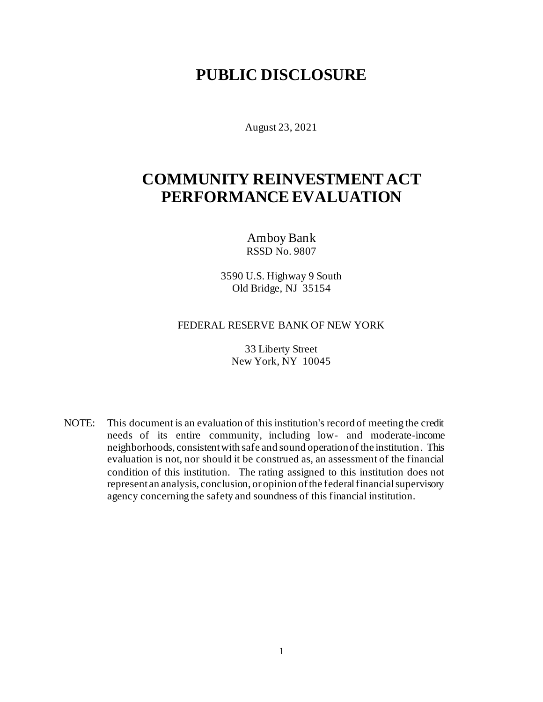## **PUBLIC DISCLOSURE**

August 23, 2021

## **COMMUNITY REINVESTMENT ACT PERFORMANCE EVALUATION**

Amboy Bank RSSD No. 9807

3590 U.S. Highway 9 South Old Bridge, NJ 35154

#### FEDERAL RESERVE BANK OF NEW YORK

33 Liberty Street New York, NY 10045

NOTE: This document is an evaluation of this institution's record of meeting the credit needs of its entire community, including low- and moderate-income neighborhoods, consistent with safe and sound operation of the institution. This evaluation is not, nor should it be construed as, an assessment of the financial condition of this institution. The rating assigned to this institution does not represent an analysis, conclusion, or opinion of the federal financial supervisory agency concerning the safety and soundness of this financial institution.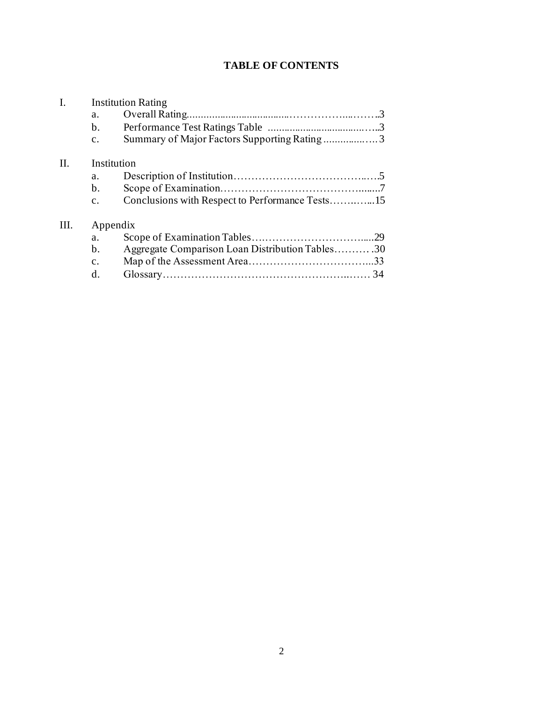### **TABLE OF CONTENTS**

| $\mathbf{I}$ . |                | <b>Institution Rating</b>                       |  |  |  |  |  |  |
|----------------|----------------|-------------------------------------------------|--|--|--|--|--|--|
|                | a.             |                                                 |  |  |  |  |  |  |
|                | $\mathbf{b}$ . |                                                 |  |  |  |  |  |  |
|                | $\mathbf{c}$ . | Summary of Major Factors Supporting Rating3     |  |  |  |  |  |  |
| II.            | Institution    |                                                 |  |  |  |  |  |  |
|                | a.             |                                                 |  |  |  |  |  |  |
|                | $\mathbf{b}$ . |                                                 |  |  |  |  |  |  |
|                | $\mathbf{c}$ . |                                                 |  |  |  |  |  |  |
| III.           | Appendix       |                                                 |  |  |  |  |  |  |
|                | a.             |                                                 |  |  |  |  |  |  |
|                | $\mathbf{b}$ . | Aggregate Comparison Loan Distribution Tables30 |  |  |  |  |  |  |
|                | $\mathbf{c}$ . |                                                 |  |  |  |  |  |  |
|                | d.             |                                                 |  |  |  |  |  |  |
|                |                |                                                 |  |  |  |  |  |  |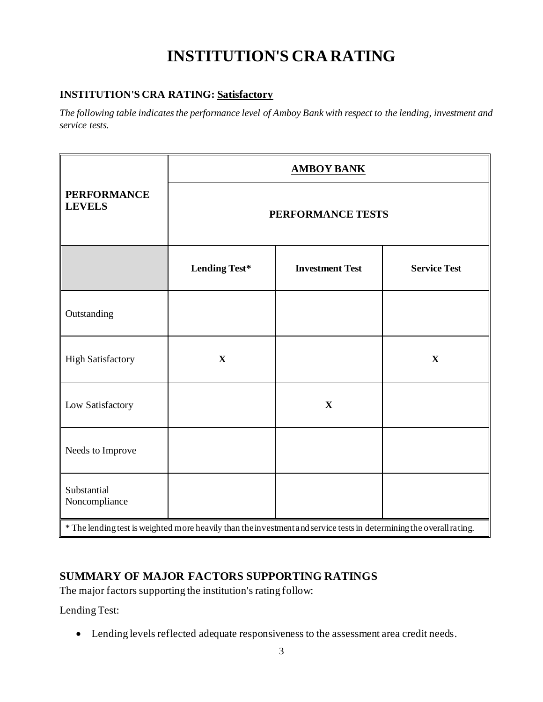# **INSTITUTION'S CRA RATING**

#### **INSTITUTION'S CRA RATING: Satisfactory**

*The following table indicates the performance level of Amboy Bank with respect to the lending, investment and service tests.*

|                                                                                                                      | <b>AMBOY BANK</b>    |                        |                     |  |  |  |  |  |
|----------------------------------------------------------------------------------------------------------------------|----------------------|------------------------|---------------------|--|--|--|--|--|
| <b>PERFORMANCE</b><br><b>LEVELS</b>                                                                                  | PERFORMANCE TESTS    |                        |                     |  |  |  |  |  |
|                                                                                                                      | <b>Lending Test*</b> | <b>Investment Test</b> | <b>Service Test</b> |  |  |  |  |  |
| Outstanding                                                                                                          |                      |                        |                     |  |  |  |  |  |
| <b>High Satisfactory</b>                                                                                             | $\mathbf X$          |                        | $\mathbf X$         |  |  |  |  |  |
| Low Satisfactory                                                                                                     |                      | X                      |                     |  |  |  |  |  |
| Needs to Improve                                                                                                     |                      |                        |                     |  |  |  |  |  |
| Substantial<br>Noncompliance                                                                                         |                      |                        |                     |  |  |  |  |  |
| * The lending test is weighted more heavily than the investment and service tests in determining the overall rating. |                      |                        |                     |  |  |  |  |  |

#### **SUMMARY OF MAJOR FACTORS SUPPORTING RATINGS**

The major factors supporting the institution's rating follow:

Lending Test:

• Lending levels reflected adequate responsiveness to the assessment area credit needs.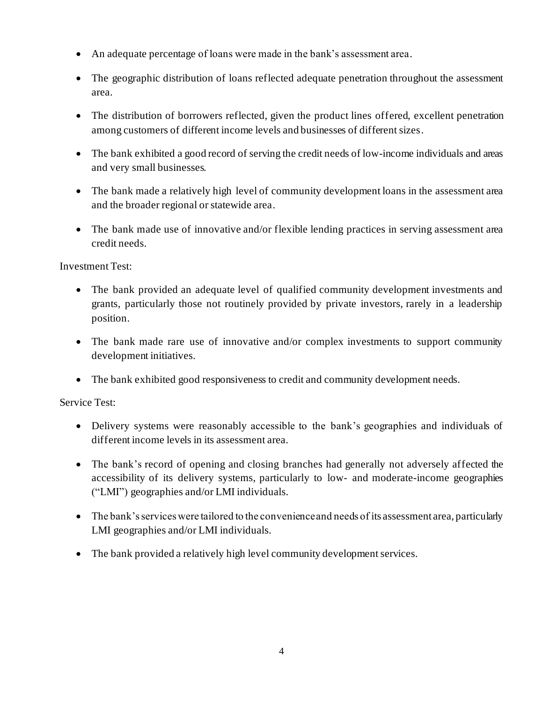- An adequate percentage of loans were made in the bank's assessment area.
- The geographic distribution of loans reflected adequate penetration throughout the assessment area.
- The distribution of borrowers reflected, given the product lines offered, excellent penetration among customers of different income levels and businesses of different sizes.
- The bank exhibited a good record of serving the credit needs of low-income individuals and areas and very small businesses.
- The bank made a relatively high level of community development loans in the assessment area and the broader regional or statewide area.
- The bank made use of innovative and/or flexible lending practices in serving assessment area credit needs.

Investment Test:

- The bank provided an adequate level of qualified community development investments and grants, particularly those not routinely provided by private investors, rarely in a leadership position.
- The bank made rare use of innovative and/or complex investments to support community development initiatives.
- The bank exhibited good responsiveness to credit and community development needs.

Service Test:

- Delivery systems were reasonably accessible to the bank's geographies and individuals of different income levels in its assessment area.
- The bank's record of opening and closing branches had generally not adversely affected the accessibility of its delivery systems, particularly to low- and moderate-income geographies ("LMI") geographies and/or LMI individuals.
- The bank's services were tailored to the convenience and needs of its assessment area, particularly LMI geographies and/or LMI individuals.
- The bank provided a relatively high level community development services.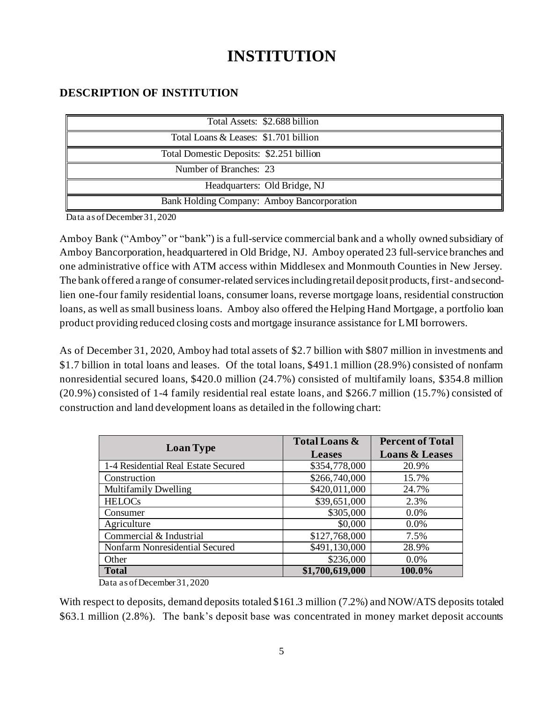# **INSTITUTION**

#### **DESCRIPTION OF INSTITUTION**

| Total Assets: \$2.688 billion              |
|--------------------------------------------|
| Total Loans & Leases: \$1.701 billion      |
| Total Domestic Deposits: \$2.251 billion   |
| Number of Branches: 23                     |
| Headquarters: Old Bridge, NJ               |
| Bank Holding Company: Amboy Bancorporation |

Data as of December 31, 2020

Amboy Bank ("Amboy" or "bank") is a full-service commercial bank and a wholly owned subsidiary of Amboy Bancorporation, headquartered in Old Bridge, NJ. Amboy operated 23 full-service branches and one administrative office with ATM access within Middlesex and Monmouth Counties in New Jersey. The bank offered a range of consumer-related services including retail deposit products, first- and secondlien one-four family residential loans, consumer loans, reverse mortgage loans, residential construction loans, as well as small business loans. Amboy also offered the Helping Hand Mortgage, a portfolio loan product providing reduced closing costs and mortgage insurance assistance for LMI borrowers.

As of December 31, 2020, Amboy had total assets of \$2.7 billion with \$807 million in investments and \$1.7 billion in total loans and leases. Of the total loans, \$491.1 million (28.9%) consisted of nonfarm nonresidential secured loans, \$420.0 million (24.7%) consisted of multifamily loans, \$354.8 million (20.9%) consisted of 1-4 family residential real estate loans, and \$266.7 million (15.7%) consisted of construction and land development loans as detailed in the following chart:

|                                     | <b>Total Loans &amp;</b> | <b>Percent of Total</b>   |
|-------------------------------------|--------------------------|---------------------------|
| <b>Loan Type</b>                    | <b>Leases</b>            | <b>Loans &amp; Leases</b> |
| 1-4 Residential Real Estate Secured | \$354,778,000            | 20.9%                     |
| Construction                        | \$266,740,000            | 15.7%                     |
| <b>Multifamily Dwelling</b>         | \$420,011,000            | 24.7%                     |
| <b>HELOCs</b>                       | \$39,651,000             | 2.3%                      |
| Consumer                            | \$305,000                | 0.0%                      |
| Agriculture                         | \$0,000                  | $0.0\%$                   |
| Commercial & Industrial             | \$127,768,000            | 7.5%                      |
| Nonfarm Nonresidential Secured      | \$491,130,000            | 28.9%                     |
| Other                               | \$236,000                | 0.0%                      |
| <b>Total</b>                        | \$1,700,619,000          | 100.0%                    |

Data as of December 31, 2020

With respect to deposits, demand deposits totaled \$161.3 million (7.2%) and NOW/ATS deposits totaled \$63.1 million (2.8%). The bank's deposit base was concentrated in money market deposit accounts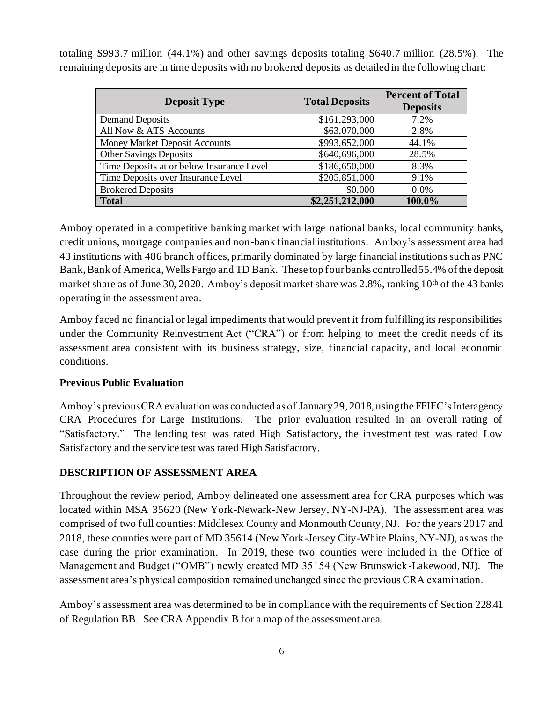totaling \$993.7 million (44.1%) and other savings deposits totaling \$640.7 million (28.5%). The remaining deposits are in time deposits with no brokered deposits as detailed in the following chart:

| <b>Deposit Type</b>                       | <b>Total Deposits</b> | <b>Percent of Total</b><br><b>Deposits</b> |
|-------------------------------------------|-----------------------|--------------------------------------------|
| <b>Demand Deposits</b>                    | \$161,293,000         | 7.2%                                       |
| All Now & ATS Accounts                    | \$63,070,000          | 2.8%                                       |
| Money Market Deposit Accounts             | \$993,652,000         | 44.1%                                      |
| <b>Other Savings Deposits</b>             | \$640,696,000         | 28.5%                                      |
| Time Deposits at or below Insurance Level | \$186,650,000         | 8.3%                                       |
| Time Deposits over Insurance Level        | \$205,851,000         | 9.1%                                       |
| <b>Brokered Deposits</b>                  | \$0,000               | $0.0\%$                                    |
| <b>Total</b>                              | \$2,251,212,000       | 100.0%                                     |

Amboy operated in a competitive banking market with large national banks, local community banks, credit unions, mortgage companies and non-bank financial institutions. Amboy's assessment area had 43 institutions with 486 branch offices, primarily dominated by large financial institutions such as PNC Bank, Bank of America, Wells Fargo and TD Bank. These top four banks controlled55.4% of the deposit market share as of June 30, 2020. Amboy's deposit market share was 2.8%, ranking 10<sup>th</sup> of the 43 banks operating in the assessment area.

Amboy faced no financial or legal impediments that would prevent it from fulfilling its responsibilities under the Community Reinvestment Act ("CRA") or from helping to meet the credit needs of its assessment area consistent with its business strategy, size, financial capacity, and local economic conditions.

#### **Previous Public Evaluation**

Amboy's previous CRA evaluation was conducted as of January 29, 2018, using the FFIEC's Interagency CRA Procedures for Large Institutions. The prior evaluation resulted in an overall rating of "Satisfactory." The lending test was rated High Satisfactory, the investment test was rated Low Satisfactory and the service test was rated High Satisfactory.

#### **DESCRIPTION OF ASSESSMENT AREA**

Throughout the review period, Amboy delineated one assessment area for CRA purposes which was located within MSA 35620 (New York-Newark-New Jersey, NY-NJ-PA). The assessment area was comprised of two full counties: Middlesex County and Monmouth County, NJ. For the years 2017 and 2018, these counties were part of MD 35614 (New York-Jersey City-White Plains, NY-NJ), as was the case during the prior examination. In 2019, these two counties were included in the Office of Management and Budget ("OMB") newly created MD 35154 (New Brunswick-Lakewood, NJ). The assessment area's physical composition remained unchanged since the previous CRA examination.

Amboy's assessment area was determined to be in compliance with the requirements of Section 228.41 of Regulation BB. See CRA Appendix B for a map of the assessment area.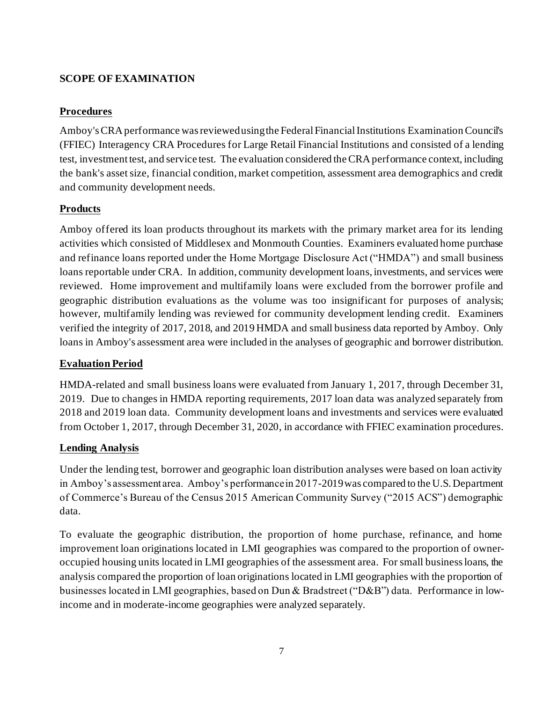#### **SCOPE OF EXAMINATION**

#### **Procedures**

Amboy's CRA performance was reviewed using the Federal Financial Institutions Examination Council's (FFIEC) Interagency CRA Procedures for Large Retail Financial Institutions and consisted of a lending test, investmenttest, and service test. The evaluation considered the CRA performance context, including the bank's asset size, financial condition, market competition, assessment area demographics and credit and community development needs.

#### **Products**

Amboy offered its loan products throughout its markets with the primary market area for its lending activities which consisted of Middlesex and Monmouth Counties. Examiners evaluated home purchase and refinance loans reported under the Home Mortgage Disclosure Act ("HMDA") and small business loans reportable under CRA. In addition, community development loans, investments, and services were reviewed. Home improvement and multifamily loans were excluded from the borrower profile and geographic distribution evaluations as the volume was too insignificant for purposes of analysis; however, multifamily lending was reviewed for community development lending credit. Examiners verified the integrity of 2017, 2018, and 2019 HMDA and small business data reported by Amboy. Only loans in Amboy's assessment area were included in the analyses of geographic and borrower distribution.

#### **Evaluation Period**

HMDA-related and small business loans were evaluated from January 1, 2017, through December 31, 2019. Due to changes in HMDA reporting requirements, 2017 loan data was analyzed separately from 2018 and 2019 loan data. Community development loans and investments and services were evaluated from October 1, 2017, through December 31, 2020, in accordance with FFIEC examination procedures.

#### **Lending Analysis**

Under the lending test, borrower and geographic loan distribution analyses were based on loan activity in Amboy's assessment area. Amboy's performance in 2017-2019 was compared to the U.S. Department of Commerce's Bureau of the Census 2015 American Community Survey ("2015 ACS") demographic data.

To evaluate the geographic distribution, the proportion of home purchase, refinance, and home improvement loan originations located in LMI geographies was compared to the proportion of owneroccupied housing units located in LMI geographies of the assessment area. For small business loans, the analysis compared the proportion of loan originations located in LMI geographies with the proportion of businesses located in LMI geographies, based on Dun & Bradstreet ("D&B") data. Performance in lowincome and in moderate-income geographies were analyzed separately.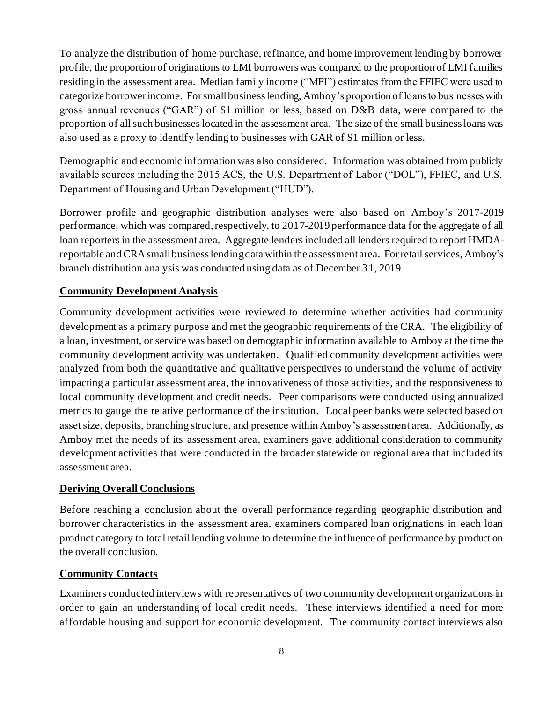To analyze the distribution of home purchase, refinance, and home improvement lending by borrower profile, the proportion of originations to LMI borrowers was compared to the proportion of LMI families residing in the assessment area. Median family income ("MFI") estimates from the FFIEC were used to categorize borrower income. For small business lending, Amboy's proportion of loans to businesses with gross annual revenues ("GAR") of \$1 million or less, based on D&B data, were compared to the proportion of all such businesses located in the assessment area. The size of the small business loans was also used as a proxy to identify lending to businesses with GAR of \$1 million or less.

Demographic and economic information was also considered. Information was obtained from publicly available sources including the 2015 ACS, the U.S. Department of Labor ("DOL"), FFIEC, and U.S. Department of Housing and Urban Development ("HUD").

Borrower profile and geographic distribution analyses were also based on Amboy's 2017-2019 performance, which was compared, respectively, to 2017-2019 performance data for the aggregate of all loan reporters in the assessment area. Aggregate lenders included all lenders required to report HMDAreportable and CRA small business lending data within the assessment area. For retail services, Amboy's branch distribution analysis was conducted using data as of December 31, 2019.

#### **Community Development Analysis**

Community development activities were reviewed to determine whether activities had community development as a primary purpose and met the geographic requirements of the CRA. The eligibility of a loan, investment, or service was based on demographic information available to Amboy at the time the community development activity was undertaken. Qualified community development activities were analyzed from both the quantitative and qualitative perspectives to understand the volume of activity impacting a particular assessment area, the innovativeness of those activities, and the responsiveness to local community development and credit needs. Peer comparisons were conducted using annualized metrics to gauge the relative performance of the institution. Local peer banks were selected based on asset size, deposits, branching structure, and presence within Amboy's assessment area. Additionally, as Amboy met the needs of its assessment area, examiners gave additional consideration to community development activities that were conducted in the broader statewide or regional area that included its assessment area.

#### **Deriving Overall Conclusions**

Before reaching a conclusion about the overall performance regarding geographic distribution and borrower characteristics in the assessment area, examiners compared loan originations in each loan product category to total retail lending volume to determine the influence of performance by product on the overall conclusion.

#### **Community Contacts**

Examiners conducted interviews with representatives of two community development organizations in order to gain an understanding of local credit needs. These interviews identified a need for more affordable housing and support for economic development. The community contact interviews also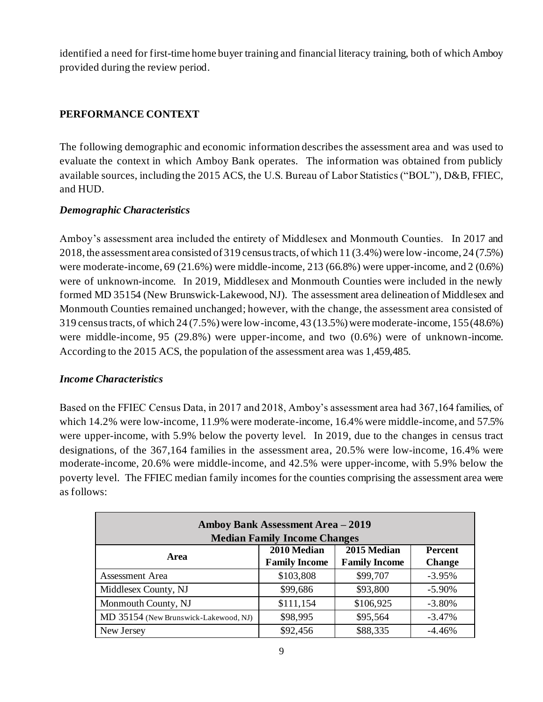identified a need for first-time home buyer training and financial literacy training, both of which Amboy provided during the review period.

#### **PERFORMANCE CONTEXT**

The following demographic and economic information describes the assessment area and was used to evaluate the context in which Amboy Bank operates. The information was obtained from publicly available sources, including the 2015 ACS, the U.S. Bureau of Labor Statistics ("BOL"), D&B, FFIEC, and HUD.

#### *Demographic Characteristics*

Amboy's assessment area included the entirety of Middlesex and Monmouth Counties. In 2017 and 2018, the assessment area consisted of 319 census tracts, of which 11 (3.4%) were low-income, 24 (7.5%) were moderate-income, 69 (21.6%) were middle-income, 213 (66.8%) were upper-income, and 2 (0.6%) were of unknown-income. In 2019, Middlesex and Monmouth Counties were included in the newly formed MD 35154 (New Brunswick-Lakewood, NJ). The assessment area delineation of Middlesex and Monmouth Counties remained unchanged; however, with the change, the assessment area consisted of 319 census tracts, of which 24 (7.5%) were low-income, 43 (13.5%) were moderate-income, 155 (48.6%) were middle-income, 95 (29.8%) were upper-income, and two (0.6%) were of unknown-income. According to the 2015 ACS, the population of the assessment area was 1,459,485.

#### *Income Characteristics*

Based on the FFIEC Census Data, in 2017 and 2018, Amboy's assessment area had 367,164 families, of which 14.2% were low-income, 11.9% were moderate-income, 16.4% were middle-income, and 57.5% were upper-income, with 5.9% below the poverty level. In 2019, due to the changes in census tract designations, of the 367,164 families in the assessment area, 20.5% were low-income, 16.4% were moderate-income, 20.6% were middle-income, and 42.5% were upper-income, with 5.9% below the poverty level. The FFIEC median family incomes for the counties comprising the assessment area were as follows:

| Amboy Bank Assessment Area - 2019<br><b>Median Family Income Changes</b> |                                     |                                     |                                 |  |  |  |  |
|--------------------------------------------------------------------------|-------------------------------------|-------------------------------------|---------------------------------|--|--|--|--|
| Area                                                                     | 2010 Median<br><b>Family Income</b> | 2015 Median<br><b>Family Income</b> | <b>Percent</b><br><b>Change</b> |  |  |  |  |
| Assessment Area                                                          | \$103,808                           | \$99,707                            | $-3.95%$                        |  |  |  |  |
| Middlesex County, NJ                                                     | \$99,686                            | \$93,800                            | $-5.90%$                        |  |  |  |  |
| Monmouth County, NJ                                                      | \$111,154                           | \$106,925                           | $-3.80%$                        |  |  |  |  |
| MD 35154 (New Brunswick-Lakewood, NJ)                                    | \$98,995                            | \$95,564                            | $-3.47%$                        |  |  |  |  |
| New Jersey                                                               | \$92,456                            | \$88,335                            | $-4.46%$                        |  |  |  |  |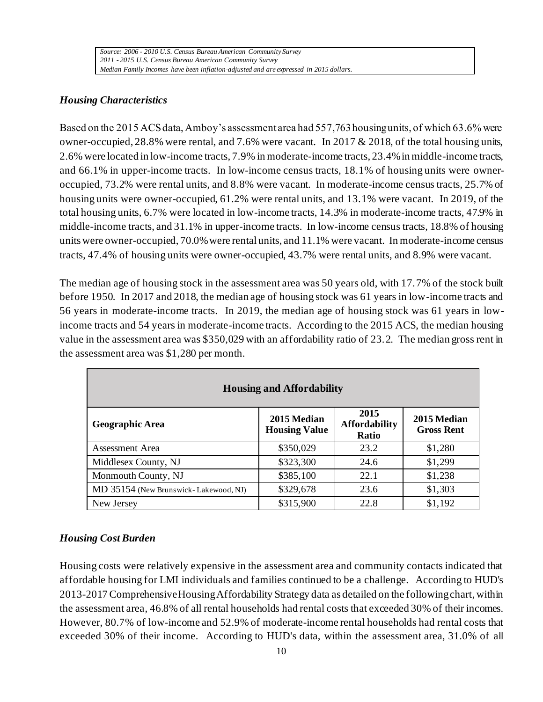#### *Housing Characteristics*

Based on the 2015 ACS data, Amboy's assessment area had 557,763 housing units, of which 63.6% were owner-occupied,  $28.8\%$  were rental, and  $7.6\%$  were vacant. In 2017 & 2018, of the total housing units, 2.6% were located in low-income tracts, 7.9% in moderate-income tracts, 23.4% in middle-income tracts, and 66.1% in upper-income tracts. In low-income census tracts, 18.1% of housing units were owneroccupied, 73.2% were rental units, and 8.8% were vacant. In moderate-income census tracts, 25.7% of housing units were owner-occupied, 61.2% were rental units, and 13.1% were vacant. In 2019, of the total housing units, 6.7% were located in low-income tracts, 14.3% in moderate-income tracts, 47.9% in middle-income tracts, and 31.1% in upper-income tracts. In low-income census tracts, 18.8% of housing units were owner-occupied, 70.0% were rental units, and 11.1% were vacant. In moderate-income census tracts, 47.4% of housing units were owner-occupied, 43.7% were rental units, and 8.9% were vacant.

The median age of housing stock in the assessment area was 50 years old, with 17.7% of the stock built before 1950. In 2017 and 2018, the median age of housing stock was 61 years in low-income tracts and 56 years in moderate-income tracts. In 2019, the median age of housing stock was 61 years in lowincome tracts and 54 years in moderate-income tracts. According to the 2015 ACS, the median housing value in the assessment area was \$350,029 with an affordability ratio of 23.2. The median gross rent in the assessment area was \$1,280 per month.

| <b>Housing and Affordability</b>      |                                     |                                       |                                  |  |  |  |  |  |
|---------------------------------------|-------------------------------------|---------------------------------------|----------------------------------|--|--|--|--|--|
| <b>Geographic Area</b>                | 2015 Median<br><b>Housing Value</b> | 2015<br><b>Affordability</b><br>Ratio | 2015 Median<br><b>Gross Rent</b> |  |  |  |  |  |
| Assessment Area                       | \$350,029                           | 23.2                                  | \$1,280                          |  |  |  |  |  |
| Middlesex County, NJ                  | \$323,300                           | 24.6                                  | \$1,299                          |  |  |  |  |  |
| Monmouth County, NJ                   | \$385,100                           | 22.1                                  | \$1,238                          |  |  |  |  |  |
| MD 35154 (New Brunswick-Lakewood, NJ) | \$329,678                           | 23.6                                  | \$1,303                          |  |  |  |  |  |
| New Jersey                            | \$315,900                           | 22.8                                  | \$1,192                          |  |  |  |  |  |

#### *Housing Cost Burden*

Housing costs were relatively expensive in the assessment area and community contacts indicated that affordable housing for LMI individuals and families continued to be a challenge. According to HUD's 2013-2017Comprehensive Housing Affordability Strategy data as detailed on the following chart, within the assessment area, 46.8% of all rental households had rental costs that exceeded 30% of their incomes. However, 80.7% of low-income and 52.9% of moderate-income rental households had rental costs that exceeded 30% of their income. According to HUD's data, within the assessment area, 31.0% of all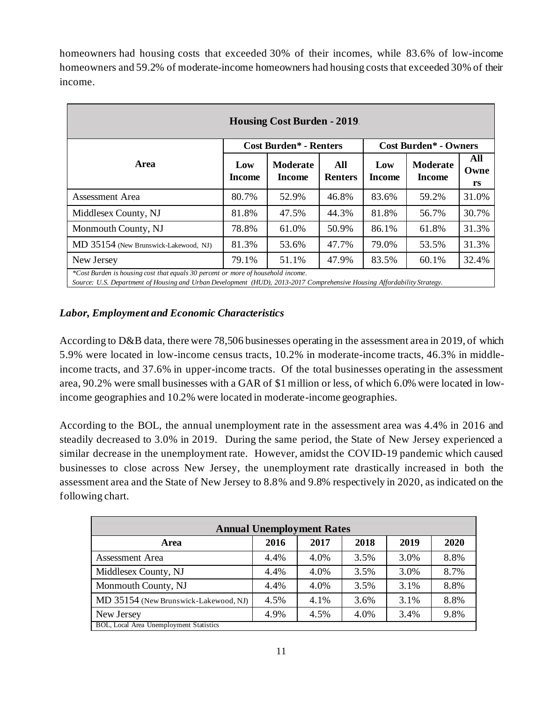homeowners had housing costs that exceeded 30% of their incomes, while 83.6% of low-income homeowners and 59.2% of moderate-income homeowners had housing costs that exceeded 30% of their income.

| <b>Housing Cost Burden - 2019.</b>                                                                                                                                                                          |               |                                                           |       |                      |                                  |                   |  |  |  |  |
|-------------------------------------------------------------------------------------------------------------------------------------------------------------------------------------------------------------|---------------|-----------------------------------------------------------|-------|----------------------|----------------------------------|-------------------|--|--|--|--|
|                                                                                                                                                                                                             |               | <b>Cost Burden* - Renters</b>                             |       |                      | <b>Cost Burden* - Owners</b>     |                   |  |  |  |  |
| <b>Area</b>                                                                                                                                                                                                 | Low<br>Income | <b>Moderate</b><br>All<br><b>Renters</b><br><b>Income</b> |       | Low<br><b>Income</b> | <b>Moderate</b><br><b>Income</b> | All<br>Owne<br>rs |  |  |  |  |
| Assessment Area                                                                                                                                                                                             | 80.7%         | 52.9%                                                     | 46.8% | 83.6%                | 59.2%                            | 31.0%             |  |  |  |  |
| Middlesex County, NJ                                                                                                                                                                                        | 81.8%         | 47.5%                                                     | 44.3% | 81.8%                | 56.7%                            | 30.7%             |  |  |  |  |
| Monmouth County, NJ                                                                                                                                                                                         | 78.8%         | 61.0%                                                     | 50.9% | 86.1%                | 61.8%                            | 31.3%             |  |  |  |  |
| MD 35154 (New Brunswick-Lakewood, NJ)                                                                                                                                                                       | 81.3%         | 53.6%                                                     | 47.7% | 79.0%                | 53.5%                            | 31.3%             |  |  |  |  |
| New Jersey                                                                                                                                                                                                  | 79.1%         | 51.1%                                                     | 47.9% | 83.5%                | 60.1%                            | 32.4%             |  |  |  |  |
| *Cost Burden is housing cost that equals 30 percent or more of household income.<br>Source: U.S. Department of Housing and Urban Development (HUD), 2013-2017 Comprehensive Housing Affordability Strategy. |               |                                                           |       |                      |                                  |                   |  |  |  |  |

#### *Labor, Employment and Economic Characteristics*

According to D&B data, there were 78,506 businesses operating in the assessment area in 2019, of which 5.9% were located in low-income census tracts, 10.2% in moderate-income tracts, 46.3% in middleincome tracts, and 37.6% in upper-income tracts. Of the total businesses operating in the assessment area, 90.2% were small businesses with a GAR of \$1 million or less, of which 6.0% were located in lowincome geographies and 10.2% were located in moderate-income geographies.

According to the BOL, the annual unemployment rate in the assessment area was 4.4% in 2016 and steadily decreased to 3.0% in 2019. During the same period, the State of New Jersey experienced a similar decrease in the unemployment rate. However, amidst the COVID-19 pandemic which caused businesses to close across New Jersey, the unemployment rate drastically increased in both the assessment area and the State of New Jersey to 8.8% and 9.8% respectively in 2020, as indicated on the following chart.

| <b>Annual Unemployment Rates</b>               |      |      |      |      |      |  |  |  |
|------------------------------------------------|------|------|------|------|------|--|--|--|
| <b>Area</b>                                    | 2016 | 2017 | 2018 | 2019 | 2020 |  |  |  |
| <b>Assessment Area</b>                         | 4.4% | 4.0% | 3.5% | 3.0% | 8.8% |  |  |  |
| Middlesex County, NJ                           | 4.4% | 4.0% | 3.5% | 3.0% | 8.7% |  |  |  |
| Monmouth County, NJ                            | 4.4% | 4.0% | 3.5% | 3.1% | 8.8% |  |  |  |
| MD 35154 (New Brunswick-Lakewood, NJ)          | 4.5% | 4.1% | 3.6% | 3.1% | 8.8% |  |  |  |
| New Jersey                                     | 4.9% | 4.5% | 4.0% | 3.4% | 9.8% |  |  |  |
| <b>BOL, Local Area Unemployment Statistics</b> |      |      |      |      |      |  |  |  |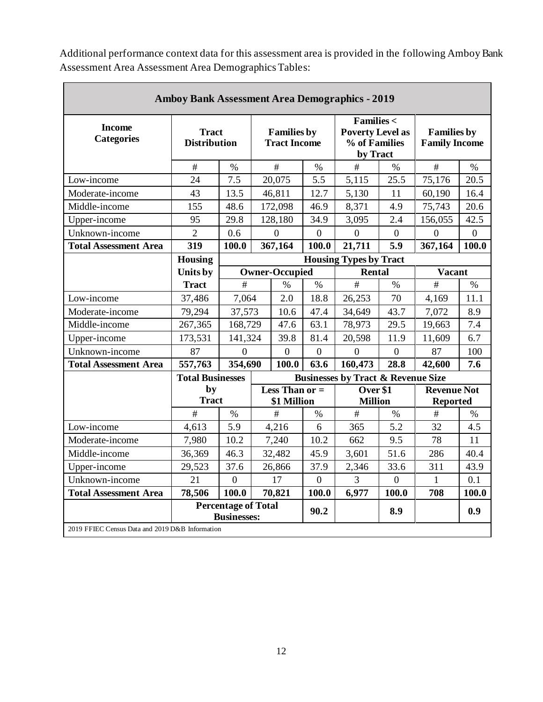|                                                 | <b>Amboy Bank Assessment Area Demographics - 2019</b> |                |   |                                           |                                               |                                                                              |                            |                                            |                                       |
|-------------------------------------------------|-------------------------------------------------------|----------------|---|-------------------------------------------|-----------------------------------------------|------------------------------------------------------------------------------|----------------------------|--------------------------------------------|---------------------------------------|
| <b>Income</b><br><b>Categories</b>              | <b>Tract</b><br><b>Distribution</b>                   |                |   | <b>Families by</b><br><b>Tract Income</b> |                                               | <b>Families &lt;</b><br><b>Poverty Level as</b><br>% of Families<br>by Tract |                            | <b>Families by</b><br><b>Family Income</b> |                                       |
|                                                 | $\#$                                                  | $\%$           | # |                                           | $\%$                                          | #                                                                            | $\%$                       | #                                          | $\%$                                  |
| Low-income                                      | 24                                                    | 7.5            |   | 20,075                                    | 5.5                                           | 5,115                                                                        | 25.5                       | 75,176                                     | 20.5                                  |
| Moderate-income                                 | 43                                                    | 13.5           |   | 46,811                                    | 12.7                                          | 5,130                                                                        | 11                         | 60,190                                     | 16.4                                  |
| Middle-income                                   | 155                                                   | 48.6           |   | 172,098                                   | 46.9                                          | 8,371                                                                        | 4.9                        | 75,743                                     | 20.6                                  |
| Upper-income                                    | 95                                                    | 29.8           |   | 128,180                                   | 34.9                                          | 3,095                                                                        | 2.4                        | 156,055                                    | 42.5                                  |
| Unknown-income                                  | $\overline{2}$                                        | 0.6            |   | $\Omega$                                  | $\overline{0}$                                | $\Omega$                                                                     | $\overline{0}$             | $\Omega$                                   | $\overline{0}$                        |
| <b>Total Assessment Area</b>                    | 319                                                   | 100.0          |   | 367,164                                   | 100.0                                         | 21,711                                                                       | 5.9                        | 367,164                                    | 100.0                                 |
|                                                 | <b>Housing</b>                                        |                |   |                                           |                                               | <b>Housing Types by Tract</b>                                                |                            |                                            |                                       |
|                                                 | Units by                                              |                |   | <b>Owner-Occupied</b>                     |                                               |                                                                              | <b>Rental</b>              | <b>Vacant</b>                              |                                       |
|                                                 | <b>Tract</b>                                          | #              |   | $\frac{0}{0}$                             | $\%$                                          | #                                                                            | $\%$                       | #                                          | $\frac{0}{0}$                         |
| Low-income                                      | 37,486                                                | 7,064          |   | 2.0                                       | 18.8                                          | 26,253                                                                       | 70                         | 4,169                                      | 11.1                                  |
| Moderate-income                                 | 79,294                                                | 37,573         |   | 10.6                                      | 47.4                                          | 34,649                                                                       | 43.7                       | 7,072                                      | 8.9                                   |
| Middle-income                                   | 267,365                                               | 168,729        |   | 47.6                                      | 63.1                                          | 78,973                                                                       | 29.5                       | 19,663                                     | 7.4                                   |
| Upper-income                                    | 173,531                                               | 141,324        |   | 39.8                                      | 81.4                                          | 20,598                                                                       | 11.9                       | 11,609                                     | 6.7                                   |
| Unknown-income                                  | 87                                                    | $\overline{0}$ |   | $\boldsymbol{0}$                          | $\overline{0}$                                | $\overline{0}$                                                               | $\overline{0}$             | 87                                         | 100                                   |
| <b>Total Assessment Area</b>                    | 557,763                                               | 354,690        |   | 100.0                                     | 63.6                                          | 160,473                                                                      | 28.8                       | 42,600                                     | 7.6                                   |
|                                                 | <b>Total Businesses</b>                               |                |   |                                           | <b>Businesses by Tract &amp; Revenue Size</b> |                                                                              |                            |                                            |                                       |
|                                                 | by<br><b>Tract</b>                                    |                |   | Less Than $or =$<br>\$1 Million           |                                               |                                                                              | Over \$1<br><b>Million</b> |                                            | <b>Revenue Not</b><br><b>Reported</b> |
|                                                 | #                                                     | $\frac{0}{0}$  |   | #                                         | $\%$                                          | #                                                                            | $\%$                       | #                                          | $\%$                                  |
| Low-income                                      | 4,613                                                 | 5.9            |   | 4,216                                     | 6                                             | 365                                                                          | 5.2                        | 32                                         | 4.5                                   |
| Moderate-income                                 | 7,980                                                 | 10.2           |   | 7,240                                     | 10.2                                          | 662                                                                          | 9.5                        | 78                                         | 11                                    |
| Middle-income                                   | 36,369                                                | 46.3           |   | 32,482                                    | 45.9                                          | 3,601                                                                        | 51.6                       | 286                                        | 40.4                                  |
| Upper-income                                    | 29,523                                                | 37.6           |   | 26,866                                    | 37.9                                          | 2,346                                                                        | 33.6                       | 311                                        | 43.9                                  |
| Unknown-income                                  | 21                                                    | $\overline{0}$ |   | 17                                        | $\overline{0}$                                | $\overline{3}$                                                               | $\overline{0}$             | 1                                          | 0.1                                   |
| <b>Total Assessment Area</b>                    | 78,506                                                | 100.0          |   | 70,821                                    | 100.0                                         | 6,977                                                                        | 100.0                      | 708                                        | 100.0                                 |
| 2019 FFIEC Census Data and 2019 D&B Information | <b>Percentage of Total</b><br><b>Businesses:</b>      |                |   |                                           |                                               |                                                                              | 8.9                        |                                            | 0.9                                   |

Additional performance context data for this assessment area is provided in the following Amboy Bank Assessment Area Assessment Area Demographics Tables: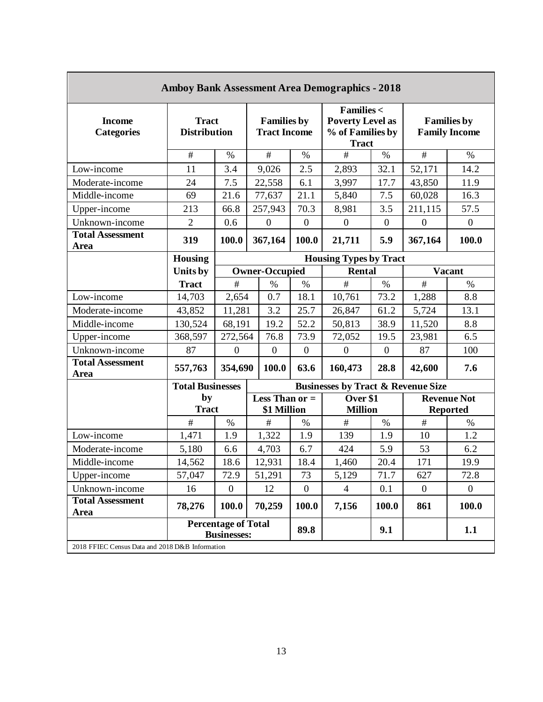|                                                 | <b>Amboy Bank Assessment Area Demographics - 2018</b> |                                                  |                                           |                  |                                                                                     |                  |                |                                            |  |  |
|-------------------------------------------------|-------------------------------------------------------|--------------------------------------------------|-------------------------------------------|------------------|-------------------------------------------------------------------------------------|------------------|----------------|--------------------------------------------|--|--|
| <b>Income</b><br><b>Categories</b>              | <b>Tract</b><br><b>Distribution</b>                   |                                                  | <b>Families by</b><br><b>Tract Income</b> |                  | <b>Families &lt;</b><br><b>Poverty Level as</b><br>% of Families by<br><b>Tract</b> |                  |                | <b>Families by</b><br><b>Family Income</b> |  |  |
|                                                 | $\overline{\#}$                                       | $\%$                                             | #                                         | $\%$             | #                                                                                   | $\%$             | #              | $\%$                                       |  |  |
| Low-income                                      | 11                                                    | 3.4                                              | 9,026                                     | 2.5              | 2,893                                                                               | 32.1             | 52,171         | 14.2                                       |  |  |
| Moderate-income                                 | 24                                                    | 7.5                                              | 22,558                                    | 6.1              | 3,997                                                                               | 17.7             | 43,850         | 11.9                                       |  |  |
| Middle-income                                   | 69                                                    | 21.6                                             | 77,637                                    | 21.1             | 5,840                                                                               | 7.5              | 60,028         | 16.3                                       |  |  |
| Upper-income                                    | 213                                                   | 66.8                                             | 257,943                                   | 70.3             | 8,981                                                                               | 3.5              | 211,115        | 57.5                                       |  |  |
| Unknown-income                                  | $\overline{2}$                                        | 0.6                                              | $\mathbf{0}$                              | $\boldsymbol{0}$ | $\overline{0}$                                                                      | $\boldsymbol{0}$ | $\overline{0}$ | $\boldsymbol{0}$                           |  |  |
| <b>Total Assessment</b><br>Area                 | 319                                                   | 100.0                                            | 367,164                                   |                  | 21,711                                                                              | 5.9              | 367,164        | 100.0                                      |  |  |
|                                                 | <b>Housing</b>                                        |                                                  | <b>Housing Types by Tract</b>             |                  |                                                                                     |                  |                |                                            |  |  |
|                                                 | Units by                                              |                                                  | <b>Owner-Occupied</b>                     |                  | <b>Rental</b>                                                                       |                  |                | <b>Vacant</b>                              |  |  |
|                                                 | <b>Tract</b>                                          | $\#$                                             | $\%$                                      | $\%$             | $\#$                                                                                | $\%$             | $\#$           | $\%$                                       |  |  |
| Low-income                                      | 14,703                                                | 2,654                                            | 0.7                                       | 18.1             | 10,761                                                                              | 73.2             | 1,288          | 8.8                                        |  |  |
| Moderate-income                                 | 43,852                                                | 11,281                                           | 3.2                                       | 25.7             | 26,847                                                                              | 61.2             | 5,724          | 13.1                                       |  |  |
| Middle-income                                   | 130,524                                               | 68,191                                           | 19.2                                      | 52.2             | 50,813                                                                              | 38.9             | 11,520         | 8.8                                        |  |  |
| Upper-income                                    | 368,597                                               | 272,564                                          | 76.8                                      | 73.9             | 72,052                                                                              | 19.5             | 23,981         | 6.5                                        |  |  |
| Unknown-income                                  | 87                                                    | $\boldsymbol{0}$                                 | $\boldsymbol{0}$                          | $\boldsymbol{0}$ | $\mathbf{0}$                                                                        | $\boldsymbol{0}$ | 87             | 100                                        |  |  |
| <b>Total Assessment</b><br><b>Area</b>          | 557,763                                               | 354,690                                          | 100.0                                     | 63.6             | 160,473                                                                             | 28.8             | 42,600         | 7.6                                        |  |  |
|                                                 | <b>Total Businesses</b>                               |                                                  |                                           |                  | <b>Businesses by Tract &amp; Revenue Size</b>                                       |                  |                |                                            |  |  |
|                                                 | by<br><b>Tract</b>                                    |                                                  | Less Than $or =$<br>\$1 Million           |                  | Over \$1<br><b>Million</b>                                                          |                  |                | <b>Revenue Not</b><br><b>Reported</b>      |  |  |
|                                                 | $\#$                                                  | $\%$                                             | $\#$                                      | $\%$             | $\#$                                                                                | $\%$             | $\#$           | %                                          |  |  |
| Low-income                                      | 1,471                                                 | 1.9                                              | 1,322                                     | 1.9              | 139                                                                                 | 1.9              | 10             | 1.2                                        |  |  |
| Moderate-income                                 | 5,180                                                 | 6.6                                              | 4,703                                     | 6.7              | 424                                                                                 | 5.9              | 53             | 6.2                                        |  |  |
| Middle-income                                   | 14,562                                                | 18.6                                             | 12,931                                    | 18.4             | 1,460                                                                               | 20.4             | 171            | 19.9                                       |  |  |
| Upper-income                                    | 57,047                                                | 72.9                                             | 51,291                                    | 73               | 5,129                                                                               | 71.7             | 627            | 72.8                                       |  |  |
| Unknown-income                                  | 16                                                    | $\mathbf{0}$                                     | 12                                        | $\mathbf{0}$     | $\overline{4}$                                                                      | 0.1              | $\mathbf{0}$   | $\overline{0}$                             |  |  |
| <b>Total Assessment</b><br>Area                 | 78,276                                                | 100.0                                            | 70,259                                    | 100.0            | 7,156                                                                               | 100.0            | 861            | 100.0                                      |  |  |
|                                                 |                                                       | <b>Percentage of Total</b><br><b>Businesses:</b> |                                           | 89.8             |                                                                                     | 9.1              |                | 1.1                                        |  |  |
| 2018 FFIEC Census Data and 2018 D&B Information |                                                       |                                                  |                                           |                  |                                                                                     |                  |                |                                            |  |  |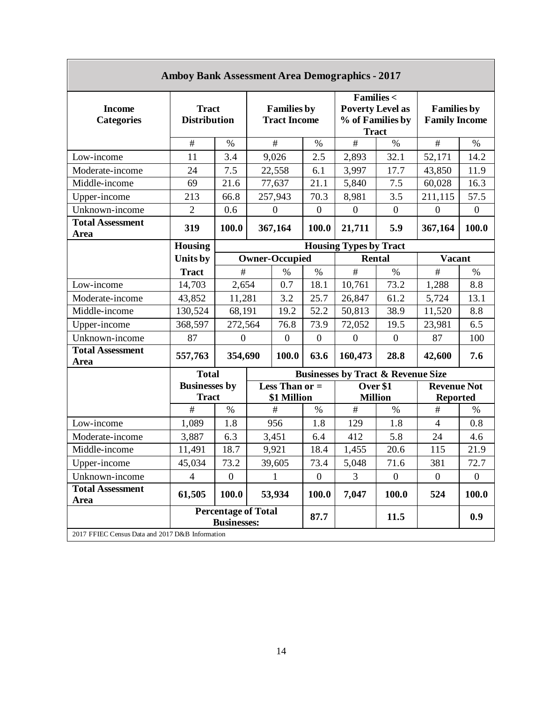| <b>Amboy Bank Assessment Area Demographics - 2017</b> |                                                  |                                           |         |                                                                                     |                  |                                               |                                            |                                       |                  |  |
|-------------------------------------------------------|--------------------------------------------------|-------------------------------------------|---------|-------------------------------------------------------------------------------------|------------------|-----------------------------------------------|--------------------------------------------|---------------------------------------|------------------|--|
| <b>Income</b><br><b>Categories</b>                    | <b>Tract</b><br><b>Distribution</b>              | <b>Families by</b><br><b>Tract Income</b> |         | <b>Families &lt;</b><br><b>Poverty Level as</b><br>% of Families by<br><b>Tract</b> |                  |                                               | <b>Families by</b><br><b>Family Income</b> |                                       |                  |  |
|                                                       | $\#$                                             | $\%$                                      |         | $\#$                                                                                | $\%$             | $\#$                                          | $\%$                                       | #                                     | $\%$             |  |
| Low-income                                            | 11                                               | 3.4                                       |         | 9,026                                                                               | 2.5              | 2,893                                         | 32.1                                       | 52,171                                | 14.2             |  |
| Moderate-income                                       | 24                                               | 7.5                                       |         | 22,558                                                                              | 6.1              | 3,997                                         | 17.7                                       | 43,850                                | 11.9             |  |
| Middle-income                                         | 69                                               | 21.6                                      |         | 77,637                                                                              | 21.1             | 5,840                                         | 7.5                                        | 60,028                                | 16.3             |  |
| Upper-income                                          | 213                                              | 66.8                                      |         | 257,943                                                                             | 70.3             | 8,981                                         | 3.5                                        | 211,115                               | 57.5             |  |
| Unknown-income                                        | $\overline{2}$                                   | 0.6                                       |         | $\boldsymbol{0}$                                                                    | $\boldsymbol{0}$ | $\boldsymbol{0}$                              | $\boldsymbol{0}$                           | $\mathbf{0}$                          | $\boldsymbol{0}$ |  |
| <b>Total Assessment</b><br>Area                       | 319                                              | 100.0                                     | 367,164 |                                                                                     | 100.0            | 21,711                                        | 5.9                                        | 367,164                               | 100.0            |  |
|                                                       | <b>Housing</b>                                   |                                           |         |                                                                                     |                  | <b>Housing Types by Tract</b>                 |                                            |                                       |                  |  |
|                                                       | Units by                                         |                                           |         | <b>Owner-Occupied</b>                                                               |                  | Rental                                        |                                            | <b>Vacant</b>                         |                  |  |
|                                                       | <b>Tract</b>                                     | #                                         |         | $\%$                                                                                | $\%$             | $\#$                                          | $\%$                                       | $\#$                                  | $\%$             |  |
| Low-income                                            | 14,703                                           | 2,654                                     |         | 0.7                                                                                 | 18.1             | 10,761                                        | 73.2                                       | 1,288                                 | 8.8              |  |
| Moderate-income                                       | 43,852                                           | 11,281                                    |         | 3.2                                                                                 | 25.7             | 26,847                                        | 61.2                                       | 5,724                                 | 13.1             |  |
| Middle-income                                         | 130,524                                          | 68,191                                    |         | 19.2                                                                                | 52.2             | 50,813                                        | 38.9                                       | 11,520                                | 8.8              |  |
| Upper-income                                          | 368,597                                          | 272,564                                   |         | 76.8                                                                                | 73.9             | 72,052                                        | 19.5                                       | 23,981                                | 6.5              |  |
| Unknown-income                                        | 87                                               | $\boldsymbol{0}$                          |         | $\boldsymbol{0}$                                                                    | $\boldsymbol{0}$ | $\boldsymbol{0}$                              | $\boldsymbol{0}$                           | 87                                    | 100              |  |
| <b>Total Assessment</b><br><b>Area</b>                | 557,763                                          | 354,690                                   |         | 100.0                                                                               | 63.6             | 160,473                                       | 28.8                                       | 42,600                                | 7.6              |  |
|                                                       | <b>Total</b>                                     |                                           |         |                                                                                     |                  | <b>Businesses by Tract &amp; Revenue Size</b> |                                            |                                       |                  |  |
|                                                       | <b>Businesses by</b><br><b>Tract</b>             |                                           |         | Less Than $or =$<br>\$1 Million                                                     |                  | Over \$1<br><b>Million</b>                    |                                            | <b>Revenue Not</b><br><b>Reported</b> |                  |  |
|                                                       | #                                                | $\%$                                      |         | #                                                                                   | $\%$             | $\#$                                          | $\%$                                       | #                                     | $\%$             |  |
| Low-income                                            | 1,089                                            | 1.8                                       |         | 956                                                                                 | 1.8              | 129                                           | 1.8                                        | $\overline{4}$                        | 0.8              |  |
| Moderate-income                                       | 3,887                                            | 6.3                                       |         | 3,451                                                                               | 6.4              | 412                                           | 5.8                                        | 24                                    | 4.6              |  |
| Middle-income                                         | 11,491                                           | 18.7                                      |         | 9,921                                                                               | 18.4             | 1,455                                         | 20.6                                       | 115                                   | 21.9             |  |
| Upper-income                                          | 45,034                                           | 73.2                                      |         | 39,605                                                                              | 73.4             | 5,048                                         | 71.6                                       | 381                                   | 72.7             |  |
| Unknown-income                                        | $\overline{4}$                                   | $\mathbf{0}$                              |         | $\mathbf{1}$                                                                        | $\boldsymbol{0}$ | 3                                             | $\boldsymbol{0}$                           | $\boldsymbol{0}$                      | $\boldsymbol{0}$ |  |
| <b>Total Assessment</b><br><b>Area</b>                | 61,505                                           | 100.0                                     |         | 53,934                                                                              | 100.0            | 7,047                                         | 100.0                                      | 524                                   | 100.0            |  |
|                                                       | <b>Percentage of Total</b><br><b>Businesses:</b> |                                           |         |                                                                                     | 87.7             |                                               | 11.5                                       |                                       | 0.9              |  |
| 2017 FFIEC Census Data and 2017 D&B Information       |                                                  |                                           |         |                                                                                     |                  |                                               |                                            |                                       |                  |  |

**Amboy Bank Assessment Area Demographics - 2017**

Г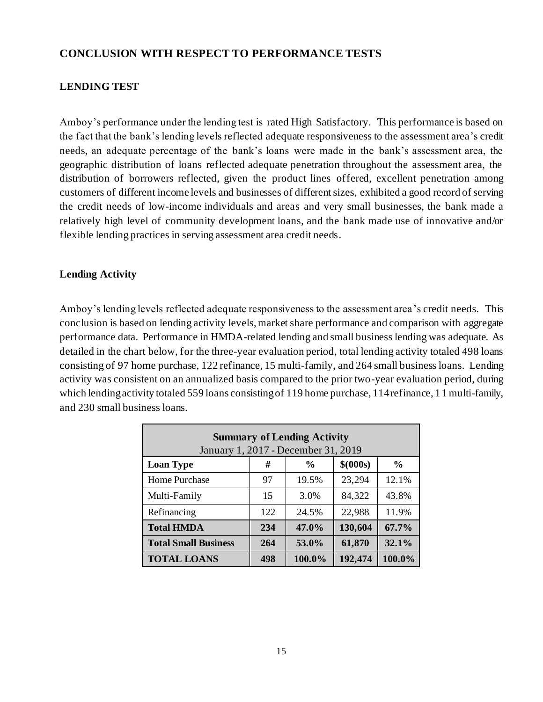#### **CONCLUSION WITH RESPECT TO PERFORMANCE TESTS**

#### **LENDING TEST**

Amboy's performance under the lending test is rated High Satisfactory. This performance is based on the fact that the bank's lending levels reflected adequate responsiveness to the assessment area's credit needs, an adequate percentage of the bank's loans were made in the bank's assessment area, the geographic distribution of loans reflected adequate penetration throughout the assessment area, the distribution of borrowers reflected, given the product lines offered, excellent penetration among customers of different income levels and businesses of different sizes, exhibited a good record of serving the credit needs of low-income individuals and areas and very small businesses, the bank made a relatively high level of community development loans, and the bank made use of innovative and/or flexible lending practices in serving assessment area credit needs.

#### **Lending Activity**

Amboy's lending levels reflected adequate responsiveness to the assessment area 's credit needs. This conclusion is based on lending activity levels, market share performance and comparison with aggregate performance data. Performance in HMDA-related lending and small business lending was adequate. As detailed in the chart below, for the three-year evaluation period, total lending activity totaled 498 loans consisting of 97 home purchase, 122 refinance, 15 multi-family, and 264 small business loans. Lending activity was consistent on an annualized basis compared to the prior two-year evaluation period, during which lending activity totaled 559 loans consisting of 119 home purchase, 114 refinance, 1 1 multi-family, and 230 small business loans.

| <b>Summary of Lending Activity</b><br>January 1, 2017 - December 31, 2019 |     |        |         |        |  |  |  |  |  |  |  |
|---------------------------------------------------------------------------|-----|--------|---------|--------|--|--|--|--|--|--|--|
| \$ (000s)<br>$\frac{6}{9}$<br>#<br>$\frac{0}{0}$<br><b>Loan Type</b>      |     |        |         |        |  |  |  |  |  |  |  |
| Home Purchase                                                             | 97  | 19.5%  | 23,294  | 12.1%  |  |  |  |  |  |  |  |
| Multi-Family                                                              | 15  | 3.0%   | 84,322  | 43.8%  |  |  |  |  |  |  |  |
| Refinancing                                                               | 122 | 24.5%  | 22,988  | 11.9%  |  |  |  |  |  |  |  |
| <b>Total HMDA</b>                                                         | 234 | 47.0%  | 130,604 | 67.7%  |  |  |  |  |  |  |  |
| 61,870<br>32.1%<br><b>Total Small Business</b><br>53.0%<br>264            |     |        |         |        |  |  |  |  |  |  |  |
| <b>TOTAL LOANS</b>                                                        | 498 | 100.0% | 192,474 | 100.0% |  |  |  |  |  |  |  |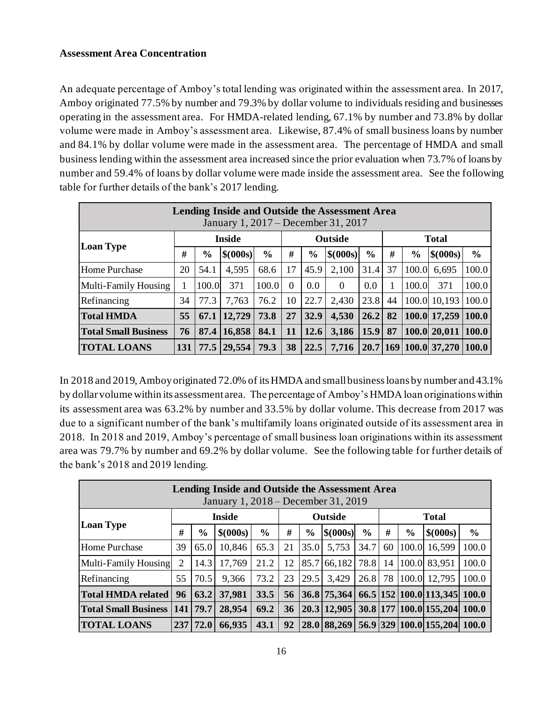#### **Assessment Area Concentration**

An adequate percentage of Amboy's total lending was originated within the assessment area. In 2017, Amboy originated 77.5% by number and 79.3% by dollar volume to individuals residing and businesses operating in the assessment area. For HMDA-related lending, 67.1% by number and 73.8% by dollar volume were made in Amboy's assessment area. Likewise, 87.4% of small business loans by number and 84.1% by dollar volume were made in the assessment area. The percentage of HMDA and small business lending within the assessment area increased since the prior evaluation when 73.7% of loans by number and 59.4% of loans by dollar volume were made inside the assessment area. See the following table for further details of the bank's 2017 lending.

| Lending Inside and Outside the Assessment Area<br>January 1, 2017 – December 31, 2017 |     |               |           |               |           |               |           |               |    |               |                  |               |  |
|---------------------------------------------------------------------------------------|-----|---------------|-----------|---------------|-----------|---------------|-----------|---------------|----|---------------|------------------|---------------|--|
| <b>Inside</b><br>Outside                                                              |     |               |           |               |           |               |           |               |    | <b>Total</b>  |                  |               |  |
| <b>Loan Type</b>                                                                      | #   | $\frac{6}{6}$ | \$ (000s) | $\frac{6}{6}$ | #         | $\frac{0}{0}$ | \$ (000s) | $\frac{6}{6}$ | #  | $\frac{0}{0}$ | \$ (000s)        | $\frac{0}{0}$ |  |
| <b>Home Purchase</b>                                                                  | 20  | 54.1          | 4,595     | 68.6          | 17        | 45.9          | 2,100     | 31.4          | 37 | 100.0         | 6,695            | 100.0         |  |
| Multi-Family Housing                                                                  |     | 100.0         | 371       | 100.0         | $\Omega$  | 0.0           | $\theta$  | 0.0           |    | 100.0         | 371              | 100.0         |  |
| Refinancing                                                                           | 34  | 77.3          | 7,763     | 76.2          | 10        | 22.7          | 2,430     | 23.8          | 44 |               | 100.0 10,193     | 100.0         |  |
| <b>Total HMDA</b>                                                                     | 55  | 67.1          | 12,729    | 73.8          | 27        | 32.9          | 4,530     | 26.2          | 82 |               | 100.0 17,259     | 100.0         |  |
| <b>Total Small Business</b>                                                           | 76  | 87.4          | 16,858    | 84.1          | <b>11</b> | 12.6          | 3,186     | 15.9          | 87 |               | 100.0 20,011     | 100.0         |  |
| <b>TOTAL LOANS</b>                                                                    | 131 | 77.5          | 29,554    | 79.3          | 38        | 22.5          | 7,716     | 20.7          |    |               | 169 100.0 37,270 | 100.0         |  |

In 2018 and 2019, Amboy originated 72.0% of its HMDA and small business loans by number and 43.1% by dollar volume within its assessment area. The percentage of Amboy's HMDA loan originations within its assessment area was 63.2% by number and 33.5% by dollar volume. This decrease from 2017 was due to a significant number of the bank's multifamily loans originated outside of its assessment area in 2018. In 2018 and 2019, Amboy's percentage of small business loan originations within its assessment area was 79.7% by number and 69.2% by dollar volume. See the following table for further details of the bank's 2018 and 2019 lending.

| <b>Lending Inside and Outside the Assessment Area</b><br>January 1, 2018 – December 31, 2019 |                |                                                                                 |           |               |    |               |             |               |    |               |                        |               |
|----------------------------------------------------------------------------------------------|----------------|---------------------------------------------------------------------------------|-----------|---------------|----|---------------|-------------|---------------|----|---------------|------------------------|---------------|
| <b>Inside</b><br>Outside<br><b>Total</b>                                                     |                |                                                                                 |           |               |    |               |             |               |    |               |                        |               |
| <b>Loan Type</b>                                                                             | #              | $\frac{0}{0}$                                                                   | \$ (000s) | $\frac{6}{6}$ | #  | $\frac{6}{6}$ | \$ (000s)   | $\frac{6}{6}$ | #  | $\frac{0}{0}$ | \$ (000s)              | $\frac{6}{6}$ |
| Home Purchase                                                                                | 39             | 65.0                                                                            | 10,846    | 65.3          | 21 | 35.0          | 5,753       | 34.7          | 60 | 100.0         | 16,599                 | 100.0         |
| Multi-Family Housing                                                                         | $\overline{2}$ | 14.3                                                                            | 17,769    | 21.2          | 12 | 85.7          | 66,182      | 78.8          | 14 |               | 100.0 83,951           | 100.0         |
| Refinancing                                                                                  | 55             | 70.5                                                                            | 9,366     | 73.2          | 23 | 29.5          | 3,429       | 26.8          | 78 |               | 100.0 12,795           | 100.0         |
| <b>Total HMDA related</b>                                                                    | 96             | 63.2                                                                            | 37,981    | 33.5          | 56 |               | 36.8 75,364 |               |    |               | 66.5 152 100.0 113,345 | 100.0         |
| <b>Total Small Business</b>                                                                  | 141            | 30.8 177 100.0 155,204<br>79.7<br>100.0<br>28,954<br>69.2<br>20.3 12,905 <br>36 |           |               |    |               |             |               |    |               |                        |               |
| <b>TOTAL LOANS</b>                                                                           | 2371           | 72.0                                                                            | 66,935    | 43.1          | 92 |               | 28.0 88,269 |               |    |               | 56.9 329 100.0 155,204 | 100.0         |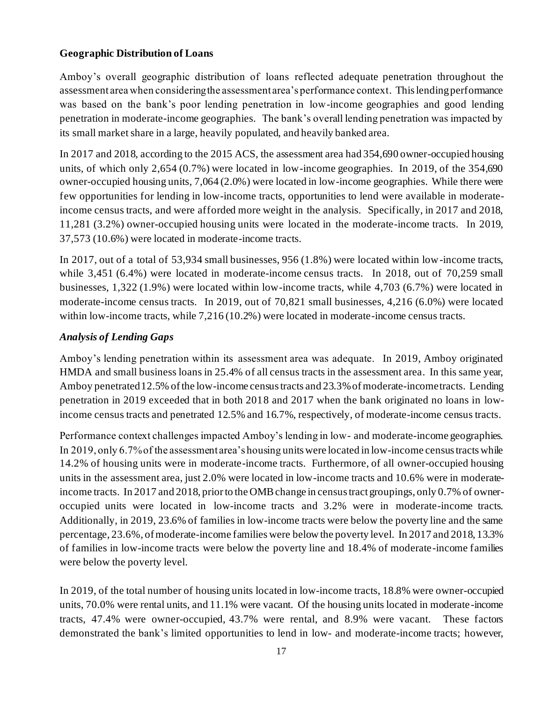#### **Geographic Distribution of Loans**

Amboy's overall geographic distribution of loans reflected adequate penetration throughout the assessment area when considering the assessment area's performance context. This lending performance was based on the bank's poor lending penetration in low-income geographies and good lending penetration in moderate-income geographies. The bank's overall lending penetration was impacted by its small market share in a large, heavily populated, and heavily banked area.

In 2017 and 2018, according to the 2015 ACS, the assessment area had 354,690 owner-occupied housing units, of which only 2,654 (0.7%) were located in low-income geographies. In 2019, of the 354,690 owner-occupied housing units, 7,064 (2.0%) were located in low-income geographies. While there were few opportunities for lending in low-income tracts, opportunities to lend were available in moderateincome census tracts, and were afforded more weight in the analysis. Specifically, in 2017 and 2018, 11,281 (3.2%) owner-occupied housing units were located in the moderate-income tracts. In 2019, 37,573 (10.6%) were located in moderate-income tracts.

In 2017, out of a total of 53,934 small businesses, 956 (1.8%) were located within low-income tracts, while 3,451 (6.4%) were located in moderate-income census tracts. In 2018, out of 70,259 small businesses, 1,322 (1.9%) were located within low-income tracts, while 4,703 (6.7%) were located in moderate-income census tracts. In 2019, out of 70,821 small businesses, 4,216 (6.0%) were located within low-income tracts, while 7,216 (10.2%) were located in moderate-income census tracts.

#### *Analysis of Lending Gaps*

Amboy's lending penetration within its assessment area was adequate. In 2019, Amboy originated HMDA and small business loans in 25.4% of all census tracts in the assessment area. In this same year, Amboy penetrated 12.5% of the low-income census tracts and 23.3% of moderate-income tracts. Lending penetration in 2019 exceeded that in both 2018 and 2017 when the bank originated no loans in lowincome census tracts and penetrated 12.5% and 16.7%, respectively, of moderate-income census tracts.

Performance context challenges impacted Amboy's lending in low- and moderate-income geographies. In 2019, only 6.7% of the assessment area's housing units were located in low-income census tracts while 14.2% of housing units were in moderate-income tracts. Furthermore, of all owner-occupied housing units in the assessment area, just 2.0% were located in low-income tracts and 10.6% were in moderateincome tracts. In 2017 and 2018, prior to the OMB change in census tract groupings, only 0.7% of owneroccupied units were located in low-income tracts and 3.2% were in moderate-income tracts. Additionally, in 2019, 23.6% of families in low-income tracts were below the poverty line and the same percentage, 23.6%, of moderate-income families were below the poverty level. In 2017 and 2018, 13.3% of families in low-income tracts were below the poverty line and 18.4% of moderate-income families were below the poverty level.

In 2019, of the total number of housing units located in low-income tracts, 18.8% were owner-occupied units, 70.0% were rental units, and 11.1% were vacant. Of the housing units located in moderate-income tracts, 47.4% were owner-occupied, 43.7% were rental, and 8.9% were vacant. These factors demonstrated the bank's limited opportunities to lend in low- and moderate-income tracts; however,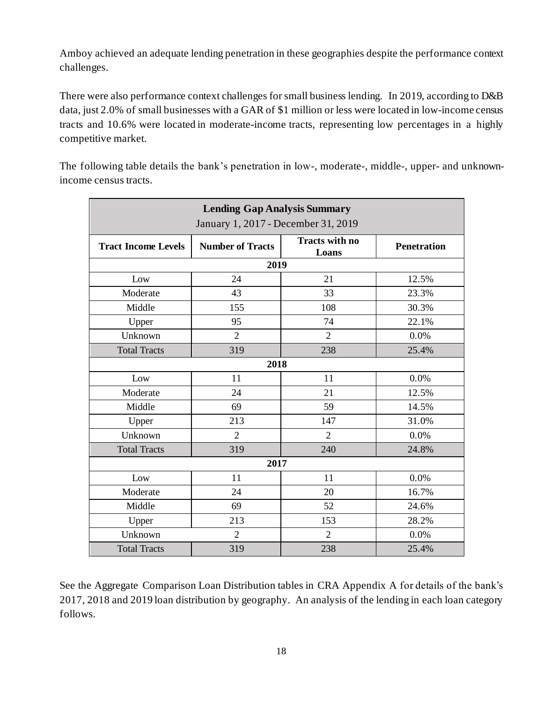Amboy achieved an adequate lending penetration in these geographies despite the performance context challenges.

There were also performance context challenges for small business lending. In 2019, according to D&B data, just 2.0% of small businesses with a GAR of \$1 million or less were located in low-income census tracts and 10.6% were located in moderate-income tracts, representing low percentages in a highly competitive market.

| <b>Lending Gap Analysis Summary</b><br>January 1, 2017 - December 31, 2019 |                         |                                |                    |  |  |  |  |  |  |  |
|----------------------------------------------------------------------------|-------------------------|--------------------------------|--------------------|--|--|--|--|--|--|--|
| <b>Tract Income Levels</b>                                                 | <b>Number of Tracts</b> | <b>Tracts with no</b><br>Loans | <b>Penetration</b> |  |  |  |  |  |  |  |
|                                                                            | 2019                    |                                |                    |  |  |  |  |  |  |  |
| Low                                                                        | 24                      | 21                             | 12.5%              |  |  |  |  |  |  |  |
| Moderate                                                                   | 43                      | 33                             | 23.3%              |  |  |  |  |  |  |  |
| Middle                                                                     | 155                     | 108                            | 30.3%              |  |  |  |  |  |  |  |
| Upper                                                                      | 95                      | 74                             | 22.1%              |  |  |  |  |  |  |  |
| Unknown                                                                    | $\overline{2}$          | $\overline{2}$                 | 0.0%               |  |  |  |  |  |  |  |
| <b>Total Tracts</b>                                                        | 319                     | 238                            | 25.4%              |  |  |  |  |  |  |  |
|                                                                            | 2018                    |                                |                    |  |  |  |  |  |  |  |
| Low                                                                        | 11                      | 11                             | 0.0%               |  |  |  |  |  |  |  |
| Moderate                                                                   | 24                      | 21                             | 12.5%              |  |  |  |  |  |  |  |
| Middle                                                                     | 69                      | 59                             | 14.5%              |  |  |  |  |  |  |  |
| Upper                                                                      | 213                     | 147                            | 31.0%              |  |  |  |  |  |  |  |
| Unknown                                                                    | $\overline{2}$          | $\overline{2}$                 | 0.0%               |  |  |  |  |  |  |  |
| <b>Total Tracts</b>                                                        | 319                     | 240                            | 24.8%              |  |  |  |  |  |  |  |
|                                                                            | 2017                    |                                |                    |  |  |  |  |  |  |  |
| Low                                                                        | 11                      | 11                             | 0.0%               |  |  |  |  |  |  |  |
| Moderate                                                                   | 24                      | 20                             | 16.7%              |  |  |  |  |  |  |  |
| Middle                                                                     | 69                      | 52                             | 24.6%              |  |  |  |  |  |  |  |
| Upper                                                                      | 213                     | 153                            | 28.2%              |  |  |  |  |  |  |  |
| Unknown                                                                    | $\overline{2}$          | $\overline{2}$                 | 0.0%               |  |  |  |  |  |  |  |
| <b>Total Tracts</b>                                                        | 319                     | 238                            | 25.4%              |  |  |  |  |  |  |  |

The following table details the bank's penetration in low-, moderate-, middle-, upper- and unknownincome census tracts.

See the Aggregate Comparison Loan Distribution tables in CRA Appendix A for details of the bank's 2017, 2018 and 2019 loan distribution by geography. An analysis of the lending in each loan category follows.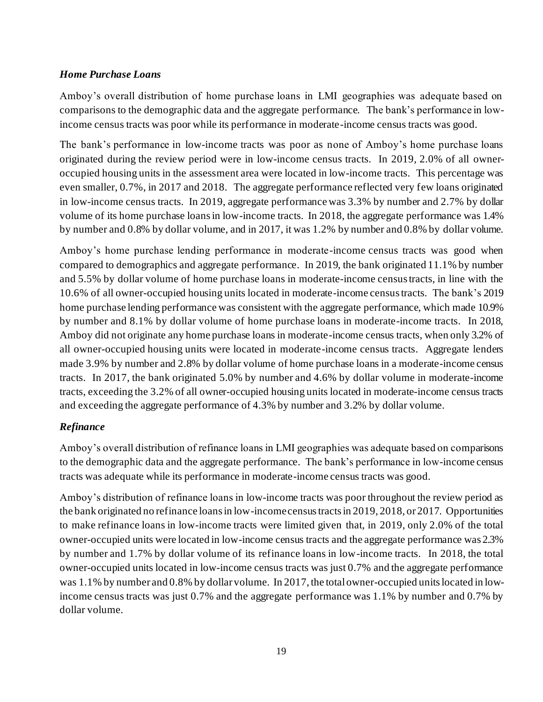#### *Home Purchase Loans*

Amboy's overall distribution of home purchase loans in LMI geographies was adequate based on comparisons to the demographic data and the aggregate performance. The bank's performance in lowincome census tracts was poor while its performance in moderate-income census tracts was good.

The bank's performance in low-income tracts was poor as none of Amboy's home purchase loans originated during the review period were in low-income census tracts. In 2019, 2.0% of all owneroccupied housing units in the assessment area were located in low-income tracts. This percentage was even smaller, 0.7%, in 2017 and 2018. The aggregate performance reflected very few loans originated in low-income census tracts. In 2019, aggregate performance was 3.3% by number and 2.7% by dollar volume of its home purchase loans in low-income tracts. In 2018, the aggregate performance was 1.4% by number and 0.8% by dollar volume, and in 2017, it was 1.2% by number and 0.8% by dollar volume.

Amboy's home purchase lending performance in moderate-income census tracts was good when compared to demographics and aggregate performance. In 2019, the bank originated 11.1% by number and 5.5% by dollar volume of home purchase loans in moderate-income census tracts, in line with the 10.6% of all owner-occupied housing units located in moderate-income census tracts. The bank's 2019 home purchase lending performance was consistent with the aggregate performance, which made 10.9% by number and 8.1% by dollar volume of home purchase loans in moderate-income tracts. In 2018, Amboy did not originate any home purchase loans in moderate-income census tracts, when only 3.2% of all owner-occupied housing units were located in moderate-income census tracts. Aggregate lenders made 3.9% by number and 2.8% by dollar volume of home purchase loans in a moderate-income census tracts. In 2017, the bank originated 5.0% by number and 4.6% by dollar volume in moderate-income tracts, exceeding the 3.2% of all owner-occupied housing units located in moderate-income census tracts and exceeding the aggregate performance of 4.3% by number and 3.2% by dollar volume.

#### *Refinance*

Amboy's overall distribution of refinance loans in LMI geographies was adequate based on comparisons to the demographic data and the aggregate performance. The bank's performance in low-income census tracts was adequate while its performance in moderate-income census tracts was good.

Amboy's distribution of refinance loans in low-income tracts was poor throughout the review period as the bank originated no refinance loans in low-income census tracts in 2019, 2018, or 2017. Opportunities to make refinance loans in low-income tracts were limited given that, in 2019, only 2.0% of the total owner-occupied units were located in low-income census tracts and the aggregate performance was 2.3% by number and 1.7% by dollar volume of its refinance loans in low-income tracts. In 2018, the total owner-occupied units located in low-income census tracts was just 0.7% and the aggregate performance was 1.1% by number and 0.8% by dollar volume. In 2017, the total owner-occupied units located in lowincome census tracts was just 0.7% and the aggregate performance was 1.1% by number and 0.7% by dollar volume.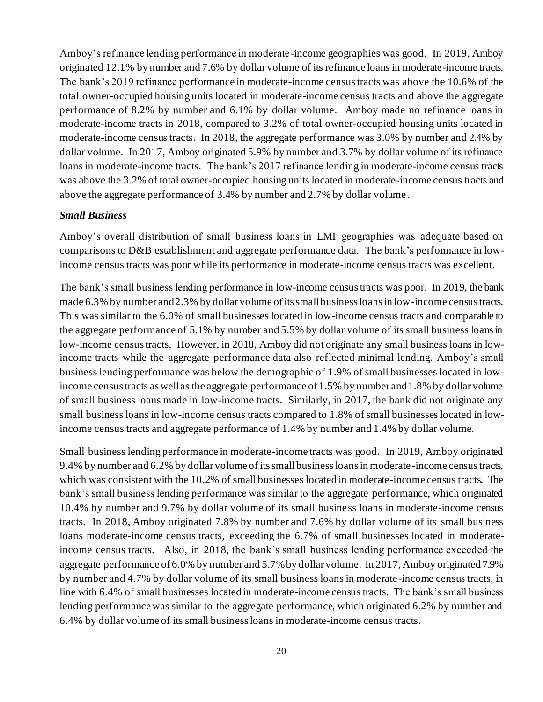Amboy's refinance lending performance in moderate-income geographies was good. In 2019, Amboy originated 12.1% by number and 7.6% by dollar volume of its refinance loans in moderate-income tracts. The bank's 2019 refinance performance in moderate-income census tracts was above the 10.6% of the total owner-occupied housing units located in moderate-income census tracts and above the aggregate performance of 8.2% by number and 6.1% by dollar volume. Amboy made no refinance loans in moderate-income tracts in 2018, compared to 3.2% of total owner-occupied housing units located in moderate-income census tracts. In 2018, the aggregate performance was 3.0% by number and 2.4% by dollar volume. In 2017, Amboy originated 5.9% by number and 3.7% by dollar volume of its refinance loans in moderate-income tracts. The bank's 2017 refinance lending in moderate-income census tracts was above the 3.2% of total owner-occupied housing units located in moderate-income census tracts and above the aggregate performance of 3.4% by number and 2.7% by dollar volume.

#### *Small Business*

Amboy's overall distribution of small business loans in LMI geographies was adequate based on comparisons to D&B establishment and aggregate performance data. The bank's performance in lowincome census tracts was poor while its performance in moderate-income census tracts was excellent.

The bank's small business lending performance in low-income census tracts was poor. In 2019, the bank made 6.3% by number and 2.3% by dollar volume of its small business loans in low-income census tracts. This was similar to the 6.0% of small businesses located in low-income census tracts and comparable to the aggregate performance of 5.1% by number and 5.5% by dollar volume of its small business loans in low-income census tracts. However, in 2018, Amboy did not originate any small business loans in lowincome tracts while the aggregate performance data also reflected minimal lending. Amboy's small business lending performance was below the demographic of 1.9% of small businesses located in lowincome census tracts as well as the aggregate performance of 1.5% by number and 1.8% by dollar volume of small business loans made in low-income tracts. Similarly, in 2017, the bank did not originate any small business loans in low-income census tracts compared to 1.8% of small businesses located in lowincome census tracts and aggregate performance of 1.4% by number and 1.4% by dollar volume.

Small business lending performance in moderate-income tracts was good. In 2019, Amboy originated 9.4% by number and 6.2% by dollar volume of its small business loans in moderate-income census tracts, which was consistent with the 10.2% of small businesses located in moderate-income census tracts. The bank's small business lending performance was similar to the aggregate performance, which originated 10.4% by number and 9.7% by dollar volume of its small business loans in moderate-income census tracts. In 2018, Amboy originated 7.8% by number and 7.6% by dollar volume of its small business loans moderate-income census tracts, exceeding the 6.7% of small businesses located in moderateincome census tracts. Also, in 2018, the bank's small business lending performance exceeded the aggregate performance of 6.0% by number and 5.7% by dollar volume. In 2017, Amboy originated 7.9% by number and 4.7% by dollar volume of its small business loans in moderate-income census tracts, in line with 6.4% of small businesses located in moderate-income census tracts. The bank's small business lending performance was similar to the aggregate performance, which originated 6.2% by number and 6.4% by dollar volume of its small business loans in moderate-income census tracts.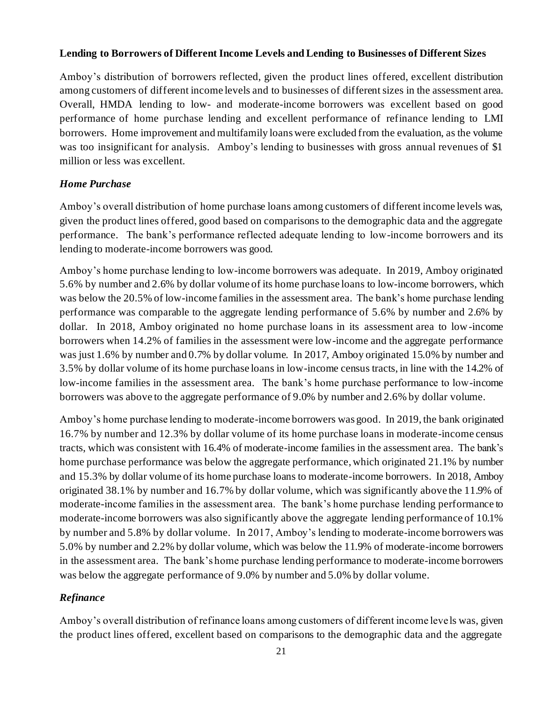#### **Lending to Borrowers of Different Income Levels and Lending to Businesses of Different Sizes**

Amboy's distribution of borrowers reflected, given the product lines offered, excellent distribution among customers of different income levels and to businesses of different sizes in the assessment area. Overall, HMDA lending to low- and moderate-income borrowers was excellent based on good performance of home purchase lending and excellent performance of refinance lending to LMI borrowers. Home improvement and multifamily loans were excluded from the evaluation, as the volume was too insignificant for analysis. Amboy's lending to businesses with gross annual revenues of \$1 million or less was excellent.

#### *Home Purchase*

Amboy's overall distribution of home purchase loans among customers of different income levels was, given the product lines offered, good based on comparisons to the demographic data and the aggregate performance. The bank's performance reflected adequate lending to low-income borrowers and its lending to moderate-income borrowers was good.

Amboy's home purchase lending to low-income borrowers was adequate. In 2019, Amboy originated 5.6% by number and 2.6% by dollar volume of its home purchase loans to low-income borrowers, which was below the 20.5% of low-income families in the assessment area. The bank's home purchase lending performance was comparable to the aggregate lending performance of 5.6% by number and 2.6% by dollar. In 2018, Amboy originated no home purchase loans in its assessment area to low-income borrowers when 14.2% of families in the assessment were low-income and the aggregate performance was just 1.6% by number and 0.7% by dollar volume. In 2017, Amboy originated 15.0% by number and 3.5% by dollar volume of its home purchase loans in low-income census tracts, in line with the 14.2% of low-income families in the assessment area. The bank's home purchase performance to low-income borrowers was above to the aggregate performance of 9.0% by number and 2.6% by dollar volume.

Amboy's home purchase lending to moderate-income borrowers was good. In 2019, the bank originated 16.7% by number and 12.3% by dollar volume of its home purchase loans in moderate-income census tracts, which was consistent with 16.4% of moderate-income families in the assessment area. The bank's home purchase performance was below the aggregate performance, which originated 21.1% by number and 15.3% by dollar volume of its home purchase loans to moderate-income borrowers. In 2018, Amboy originated 38.1% by number and 16.7% by dollar volume, which was significantly above the 11.9% of moderate-income families in the assessment area. The bank's home purchase lending performance to moderate-income borrowers was also significantly above the aggregate lending performance of 10.1% by number and 5.8% by dollar volume. In 2017, Amboy's lending to moderate-income borrowers was 5.0% by number and 2.2% by dollar volume, which was below the 11.9% of moderate-income borrowers in the assessment area. The bank's home purchase lending performance to moderate-income borrowers was below the aggregate performance of 9.0% by number and 5.0% by dollar volume.

#### *Refinance*

Amboy's overall distribution of refinance loans among customers of different income levels was, given the product lines offered, excellent based on comparisons to the demographic data and the aggregate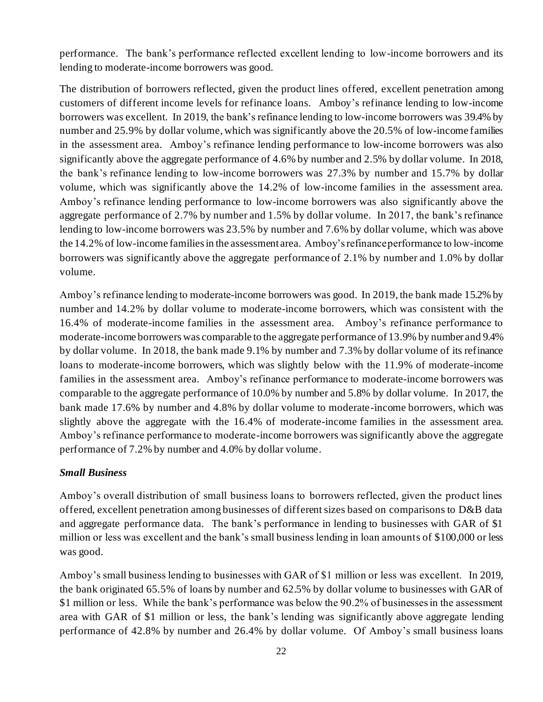performance. The bank's performance reflected excellent lending to low-income borrowers and its lending to moderate-income borrowers was good.

The distribution of borrowers reflected, given the product lines offered, excellent penetration among customers of different income levels for refinance loans. Amboy's refinance lending to low-income borrowers was excellent. In 2019, the bank's refinance lending to low-income borrowers was 39.4% by number and 25.9% by dollar volume, which was significantly above the 20.5% of low-income families in the assessment area. Amboy's refinance lending performance to low-income borrowers was also significantly above the aggregate performance of 4.6% by number and 2.5% by dollar volume. In 2018, the bank's refinance lending to low-income borrowers was 27.3% by number and 15.7% by dollar volume, which was significantly above the 14.2% of low-income families in the assessment area. Amboy's refinance lending performance to low-income borrowers was also significantly above the aggregate performance of 2.7% by number and 1.5% by dollar volume. In 2017, the bank's refinance lending to low-income borrowers was 23.5% by number and 7.6% by dollar volume, which was above the 14.2% of low-income families in the assessment area. Amboy's refinance performance to low-income borrowers was significantly above the aggregate performance of 2.1% by number and 1.0% by dollar volume.

Amboy's refinance lending to moderate-income borrowers was good. In 2019, the bank made 15.2% by number and 14.2% by dollar volume to moderate-income borrowers, which was consistent with the 16.4% of moderate-income families in the assessment area. Amboy's refinance performance to moderate-income borrowers was comparable to the aggregate performance of 13.9% by number and 9.4% by dollar volume. In 2018, the bank made 9.1% by number and 7.3% by dollar volume of its refinance loans to moderate-income borrowers, which was slightly below with the 11.9% of moderate-income families in the assessment area. Amboy's refinance performance to moderate-income borrowers was comparable to the aggregate performance of 10.0% by number and 5.8% by dollar volume. In 2017, the bank made 17.6% by number and 4.8% by dollar volume to moderate-income borrowers, which was slightly above the aggregate with the 16.4% of moderate-income families in the assessment area. Amboy's refinance performance to moderate-income borrowers was significantly above the aggregate performance of 7.2% by number and 4.0% by dollar volume.

#### *Small Business*

Amboy's overall distribution of small business loans to borrowers reflected, given the product lines offered, excellent penetration among businesses of different sizes based on comparisons to D&B data and aggregate performance data. The bank's performance in lending to businesses with GAR of \$1 million or less was excellent and the bank's small business lending in loan amounts of \$100,000 or less was good.

Amboy's small business lending to businesses with GAR of \$1 million or less was excellent. In 2019, the bank originated 65.5% of loans by number and 62.5% by dollar volume to businesses with GAR of \$1 million or less. While the bank's performance was below the 90.2% of businesses in the assessment area with GAR of \$1 million or less, the bank's lending was significantly above aggregate lending performance of 42.8% by number and 26.4% by dollar volume. Of Amboy's small business loans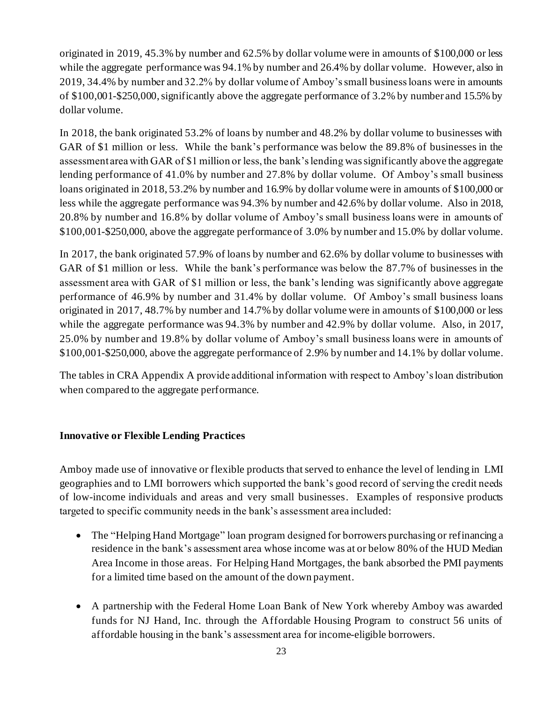originated in 2019, 45.3% by number and 62.5% by dollar volume were in amounts of \$100,000 or less while the aggregate performance was 94.1% by number and 26.4% by dollar volume. However, also in 2019, 34.4% by number and 32.2% by dollar volume of Amboy's small business loans were in amounts of \$100,001-\$250,000, significantly above the aggregate performance of 3.2% by number and 15.5% by dollar volume.

In 2018, the bank originated 53.2% of loans by number and 48.2% by dollar volume to businesses with GAR of \$1 million or less. While the bank's performance was below the 89.8% of businesses in the assessment area with GAR of \$1 million or less, the bank's lending was significantly above the aggregate lending performance of 41.0% by number and 27.8% by dollar volume. Of Amboy's small business loans originated in 2018, 53.2% by number and 16.9% by dollar volume were in amounts of \$100,000 or less while the aggregate performance was 94.3% by number and 42.6% by dollar volume. Also in 2018, 20.8% by number and 16.8% by dollar volume of Amboy's small business loans were in amounts of \$100,001-\$250,000, above the aggregate performance of 3.0% by number and 15.0% by dollar volume.

In 2017, the bank originated 57.9% of loans by number and 62.6% by dollar volume to businesses with GAR of \$1 million or less. While the bank's performance was below the 87.7% of businesses in the assessment area with GAR of \$1 million or less, the bank's lending was significantly above aggregate performance of 46.9% by number and 31.4% by dollar volume. Of Amboy's small business loans originated in 2017, 48.7% by number and 14.7% by dollar volume were in amounts of \$100,000 or less while the aggregate performance was 94.3% by number and 42.9% by dollar volume. Also, in 2017, 25.0% by number and 19.8% by dollar volume of Amboy's small business loans were in amounts of \$100,001-\$250,000, above the aggregate performance of 2.9% by number and 14.1% by dollar volume.

The tables in CRA Appendix A provide additional information with respect to Amboy's loan distribution when compared to the aggregate performance.

#### **Innovative or Flexible Lending Practices**

Amboy made use of innovative or flexible products that served to enhance the level of lending in LMI geographies and to LMI borrowers which supported the bank's good record of serving the credit needs of low-income individuals and areas and very small businesses. Examples of responsive products targeted to specific community needs in the bank's assessment area included:

- The "Helping Hand Mortgage" loan program designed for borrowers purchasing or refinancing a residence in the bank's assessment area whose income was at or below 80% of the HUD Median Area Income in those areas. For Helping Hand Mortgages, the bank absorbed the PMI payments for a limited time based on the amount of the down payment.
- A partnership with the Federal Home Loan Bank of New York whereby Amboy was awarded funds for NJ Hand, Inc. through the Affordable Housing Program to construct 56 units of affordable housing in the bank's assessment area for income-eligible borrowers.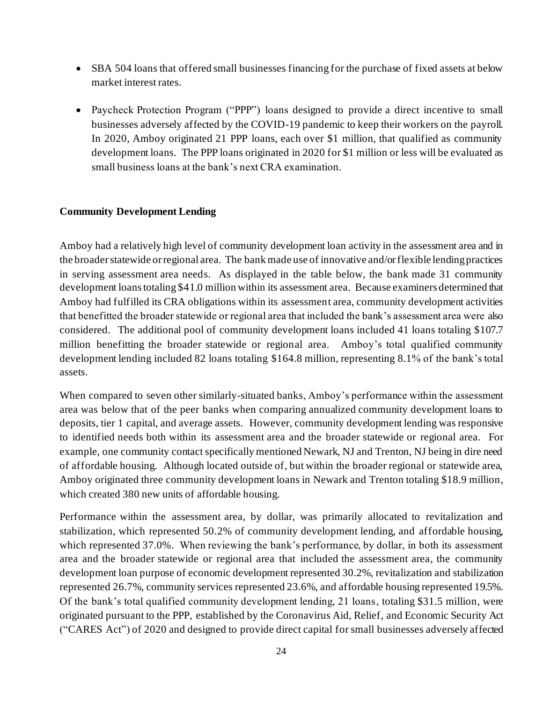- SBA 504 loans that offered small businesses financing for the purchase of fixed assets at below market interest rates.
- Paycheck Protection Program ("PPP") loans designed to provide a direct incentive to small businesses adversely affected by the COVID-19 pandemic to keep their workers on the payroll. In 2020, Amboy originated 21 PPP loans, each over \$1 million, that qualified as community development loans. The PPP loans originated in 2020 for \$1 million or less will be evaluated as small business loans at the bank's next CRA examination.

#### **Community Development Lending**

Amboy had a relatively high level of community development loan activity in the assessment area and in the broader statewide or regional area. The bank made use of innovative and/or flexible lending practices in serving assessment area needs. As displayed in the table below, the bank made 31 community development loans totaling \$41.0 million within its assessment area. Because examiners determined that Amboy had fulfilled its CRA obligations within its assessment area, community development activities that benefitted the broader statewide or regional area that included the bank's assessment area were also considered. The additional pool of community development loans included 41 loans totaling \$107.7 million benefitting the broader statewide or regional area. Amboy's total qualified community development lending included 82 loans totaling \$164.8 million, representing 8.1% of the bank's total assets.

When compared to seven other similarly-situated banks, Amboy's performance within the assessment area was below that of the peer banks when comparing annualized community development loans to deposits, tier 1 capital, and average assets. However, community development lending was responsive to identified needs both within its assessment area and the broader statewide or regional area. For example, one community contact specifically mentioned Newark, NJ and Trenton, NJ being in dire need of affordable housing. Although located outside of, but within the broader regional or statewide area, Amboy originated three community development loans in Newark and Trenton totaling \$18.9 million, which created 380 new units of affordable housing.

Performance within the assessment area, by dollar, was primarily allocated to revitalization and stabilization, which represented 50.2% of community development lending, and affordable housing, which represented 37.0%. When reviewing the bank's performance, by dollar, in both its assessment area and the broader statewide or regional area that included the assessment area, the community development loan purpose of economic development represented 30.2%, revitalization and stabilization represented 26.7%, community services represented 23.6%, and affordable housing represented 19.5%. Of the bank's total qualified community development lending, 21 loans, totaling \$31.5 million, were originated pursuant to the PPP, established by the Coronavirus Aid, Relief, and Economic Security Act ("CARES Act") of 2020 and designed to provide direct capital for small businesses adversely affected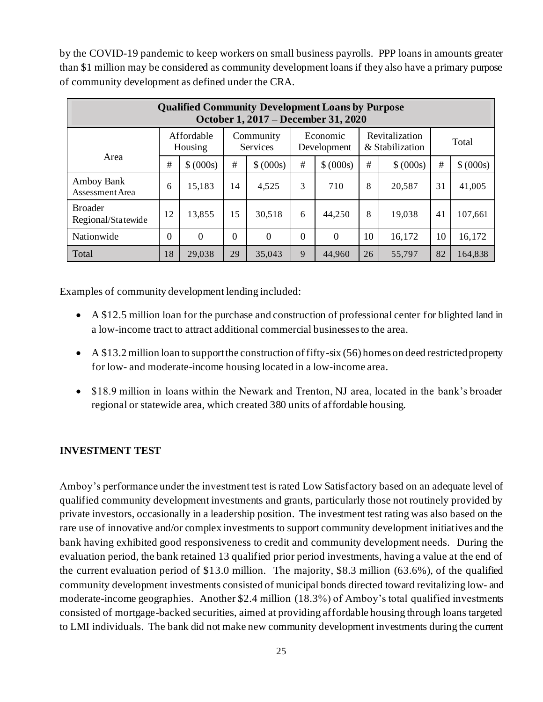by the COVID-19 pandemic to keep workers on small business payrolls. PPP loans in amounts greater than \$1 million may be considered as community development loans if they also have a primary purpose of community development as defined under the CRA.

| <b>Qualified Community Development Loans by Purpose</b><br>October 1, 2017 – December 31, 2020 |          |                       |          |                              |                         |           |                                          |           |       |           |  |  |
|------------------------------------------------------------------------------------------------|----------|-----------------------|----------|------------------------------|-------------------------|-----------|------------------------------------------|-----------|-------|-----------|--|--|
|                                                                                                |          | Affordable<br>Housing |          | Community<br><b>Services</b> | Economic<br>Development |           | <b>Revitalization</b><br>& Stabilization |           | Total |           |  |  |
| Area                                                                                           | #        | \$ (000s)             | #        | \$ (000s)                    | #                       | \$ (000s) | #                                        | \$ (000s) | #     | \$ (000s) |  |  |
| <b>Amboy Bank</b><br>Assessment Area                                                           | 6        | 15,183                | 14       | 4,525                        | 3                       | 710       | 8                                        | 20,587    | 31    | 41,005    |  |  |
| <b>Broader</b><br>Regional/Statewide                                                           | 12       | 13,855                | 15       | 30,518                       | 6                       | 44,250    | 8                                        | 19,038    | 41    | 107,661   |  |  |
| Nationwide                                                                                     | $\theta$ | $\theta$              | $\Omega$ | $\Omega$                     | $\Omega$                | $\Omega$  | 10                                       | 16,172    | 10    | 16,172    |  |  |
| Total                                                                                          | 18       | 29,038                | 29       | 35,043                       | 9                       | 44,960    | 26                                       | 55,797    | 82    | 164,838   |  |  |

Examples of community development lending included:

- A \$12.5 million loan for the purchase and construction of professional center for blighted land in a low-income tract to attract additional commercial businesses to the area.
- A \$13.2 million loan to support the construction of fifty-six (56) homes on deed restricted property for low- and moderate-income housing located in a low-income area.
- \$18.9 million in loans within the Newark and Trenton, NJ area, located in the bank's broader regional or statewide area, which created 380 units of affordable housing.

#### **INVESTMENT TEST**

Amboy's performance under the investment test is rated Low Satisfactory based on an adequate level of qualified community development investments and grants, particularly those not routinely provided by private investors, occasionally in a leadership position. The investment test rating was also based on the rare use of innovative and/or complex investments to support community development initiatives and the bank having exhibited good responsiveness to credit and community development needs. During the evaluation period, the bank retained 13 qualified prior period investments, having a value at the end of the current evaluation period of \$13.0 million. The majority, \$8.3 million (63.6%), of the qualified community development investments consisted of municipal bonds directed toward revitalizing low- and moderate-income geographies. Another \$2.4 million (18.3%) of Amboy's total qualified investments consisted of mortgage-backed securities, aimed at providing affordable housing through loans targeted to LMI individuals. The bank did not make new community development investments during the current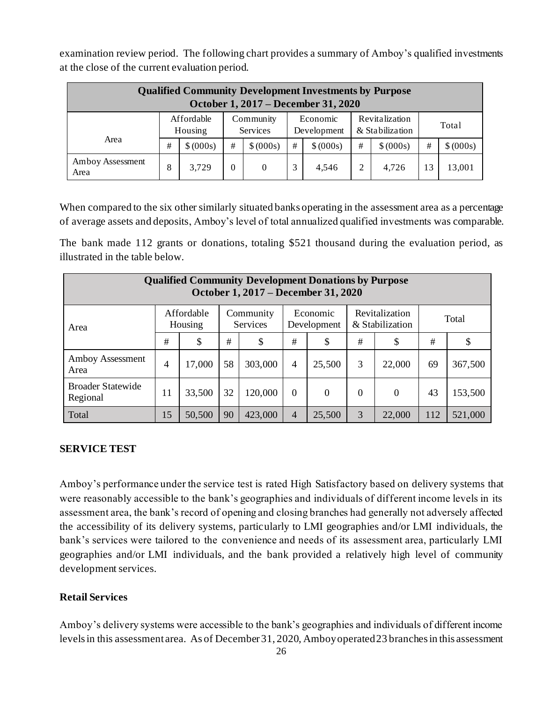examination review period. The following chart provides a summary of Amboy's qualified investments at the close of the current evaluation period.

| <b>Qualified Community Development Investments by Purpose</b><br>October 1, 2017 – December 31, 2020 |                                                                  |                                                                                                                         |   |           |      |           |   |           |   |           |  |  |
|------------------------------------------------------------------------------------------------------|------------------------------------------------------------------|-------------------------------------------------------------------------------------------------------------------------|---|-----------|------|-----------|---|-----------|---|-----------|--|--|
|                                                                                                      |                                                                  | Affordable<br>Revitalization<br>Economic<br>Community<br>Total<br>& Stabilization<br>Services<br>Housing<br>Development |   |           |      |           |   |           |   |           |  |  |
| Area                                                                                                 | #                                                                | \$ (000s)                                                                                                               | # | \$ (000s) | $\#$ | \$ (000s) | # | \$ (000s) | # | \$ (000s) |  |  |
| Amboy Assessment<br>Area                                                                             | 3,729<br>3<br>8<br>4,726<br>13,001<br>4,546<br>2<br>13<br>0<br>0 |                                                                                                                         |   |           |      |           |   |           |   |           |  |  |

When compared to the six other similarly situated banks operating in the assessment area as a percentage of average assets and deposits, Amboy's level of total annualized qualified investments was comparable.

The bank made 112 grants or donations, totaling \$521 thousand during the evaluation period, as illustrated in the table below.

| <b>Qualified Community Development Donations by Purpose</b><br>October 1, 2017 – December 31, 2020                              |                |        |                                                                                      |         |                |        |   |        |     |         |  |  |
|---------------------------------------------------------------------------------------------------------------------------------|----------------|--------|--------------------------------------------------------------------------------------|---------|----------------|--------|---|--------|-----|---------|--|--|
| Revitalization<br>Affordable<br>Community<br>Economic<br>Total<br>& Stabilization<br>Services<br>Development<br>Housing<br>Area |                |        |                                                                                      |         |                |        |   |        |     |         |  |  |
|                                                                                                                                 | #              | \$     | #                                                                                    | \$      | #<br>\$        |        | # | \$     | #   | \$      |  |  |
| Amboy Assessment<br>Area                                                                                                        | $\overline{4}$ | 17,000 | 58                                                                                   | 303,000 | $\overline{4}$ | 25,500 | 3 | 22,000 | 69  | 367,500 |  |  |
| <b>Broader Statewide</b><br>Regional                                                                                            | 11             | 33,500 | 32<br>120,000<br>$\overline{0}$<br>153,500<br>43<br>$\Omega$<br>$\theta$<br>$\Omega$ |         |                |        |   |        |     |         |  |  |
| Total                                                                                                                           | 15             | 50,500 | 90                                                                                   | 423,000 | $\overline{4}$ | 25,500 | 3 | 22,000 | 112 | 521,000 |  |  |

#### **SERVICE TEST**

Amboy's performance under the service test is rated High Satisfactory based on delivery systems that were reasonably accessible to the bank's geographies and individuals of different income levels in its assessment area, the bank's record of opening and closing branches had generally not adversely affected the accessibility of its delivery systems, particularly to LMI geographies and/or LMI individuals, the bank's services were tailored to the convenience and needs of its assessment area, particularly LMI geographies and/or LMI individuals, and the bank provided a relatively high level of community development services.

#### **Retail Services**

Amboy's delivery systems were accessible to the bank's geographies and individuals of different income levels in this assessment area. As of December 31, 2020, Amboy operated 23 branches in this assessment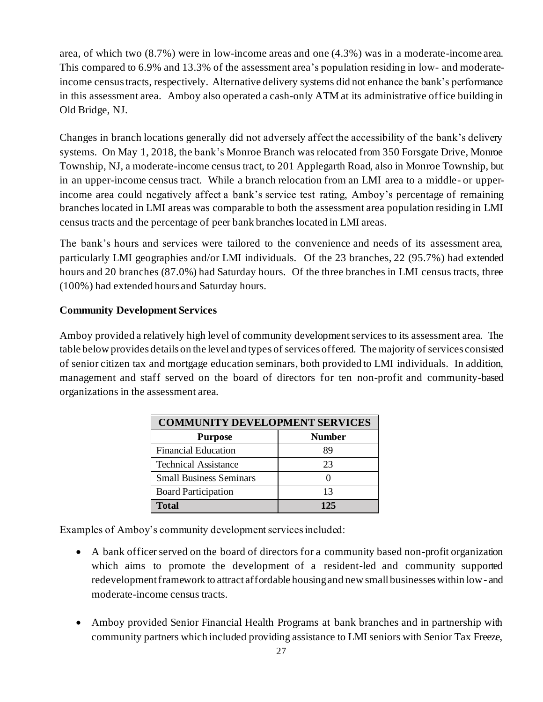area, of which two (8.7%) were in low-income areas and one (4.3%) was in a moderate-income area. This compared to 6.9% and 13.3% of the assessment area's population residing in low- and moderateincome census tracts, respectively. Alternative delivery systems did not enhance the bank's performance in this assessment area. Amboy also operated a cash-only ATM at its administrative office building in Old Bridge, NJ.

Changes in branch locations generally did not adversely affect the accessibility of the bank's delivery systems. On May 1, 2018, the bank's Monroe Branch was relocated from 350 Forsgate Drive, Monroe Township, NJ, a moderate-income census tract, to 201 Applegarth Road, also in Monroe Township, but in an upper-income census tract. While a branch relocation from an LMI area to a middle- or upperincome area could negatively affect a bank's service test rating, Amboy's percentage of remaining branches located in LMI areas was comparable to both the assessment area population residing in LMI census tracts and the percentage of peer bank branches located in LMI areas.

The bank's hours and services were tailored to the convenience and needs of its assessment area, particularly LMI geographies and/or LMI individuals. Of the 23 branches, 22 (95.7%) had extended hours and 20 branches (87.0%) had Saturday hours. Of the three branches in LMI census tracts, three (100%) had extended hours and Saturday hours.

#### **Community Development Services**

Amboy provided a relatively high level of community development services to its assessment area. The table below provides details on the level and types of services offered. The majority of services consisted of senior citizen tax and mortgage education seminars, both provided to LMI individuals. In addition, management and staff served on the board of directors for ten non-profit and community-based organizations in the assessment area.

| <b>COMMUNITY DEVELOPMENT SERVICES</b> |               |  |  |  |  |  |  |  |  |  |
|---------------------------------------|---------------|--|--|--|--|--|--|--|--|--|
| <b>Purpose</b>                        | <b>Number</b> |  |  |  |  |  |  |  |  |  |
| <b>Financial Education</b>            | 89            |  |  |  |  |  |  |  |  |  |
| <b>Technical Assistance</b>           | 23            |  |  |  |  |  |  |  |  |  |
| <b>Small Business Seminars</b>        |               |  |  |  |  |  |  |  |  |  |
| <b>Board Participation</b>            | 13            |  |  |  |  |  |  |  |  |  |
| <b>Total</b>                          | 125           |  |  |  |  |  |  |  |  |  |

Examples of Amboy's community development services included:

- A bank officer served on the board of directors for a community based non-profit organization which aims to promote the development of a resident-led and community supported redevelopment framework to attract affordable housing and new small businesses within low- and moderate-income census tracts.
- Amboy provided Senior Financial Health Programs at bank branches and in partnership with community partners which included providing assistance to LMI seniors with Senior Tax Freeze,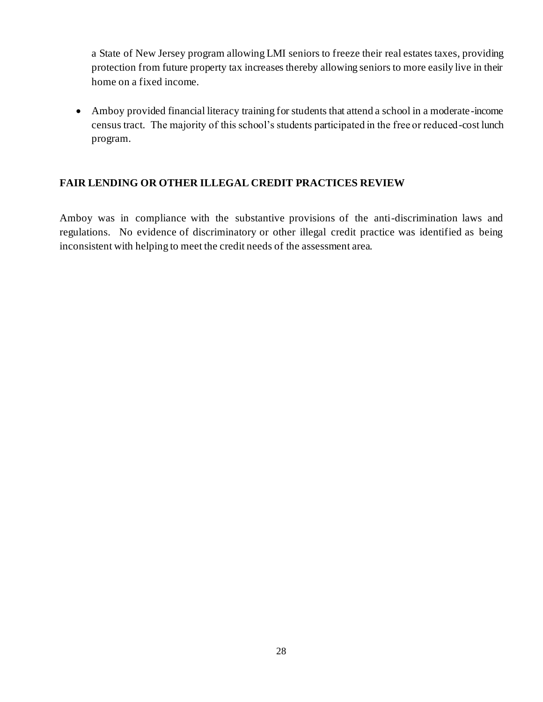a State of New Jersey program allowing LMI seniors to freeze their real estates taxes, providing protection from future property tax increases thereby allowing seniors to more easily live in their home on a fixed income.

• Amboy provided financial literacy training for students that attend a school in a moderate-income census tract. The majority of this school's students participated in the free or reduced-cost lunch program.

#### **FAIR LENDING OR OTHER ILLEGAL CREDIT PRACTICES REVIEW**

Amboy was in compliance with the substantive provisions of the anti-discrimination laws and regulations. No evidence of discriminatory or other illegal credit practice was identified as being inconsistent with helping to meet the credit needs of the assessment area.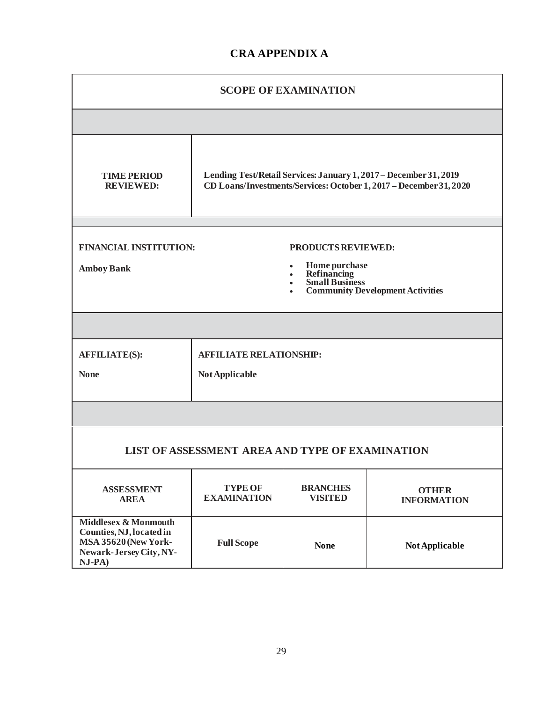#### **CRA APPENDIX A**

| <b>SCOPE OF EXAMINATION</b>                                                                                                                                                       |                                                    |                                   |                                    |  |  |  |  |  |  |
|-----------------------------------------------------------------------------------------------------------------------------------------------------------------------------------|----------------------------------------------------|-----------------------------------|------------------------------------|--|--|--|--|--|--|
|                                                                                                                                                                                   |                                                    |                                   |                                    |  |  |  |  |  |  |
| Lending Test/Retail Services: January 1, 2017 - December 31, 2019<br><b>TIME PERIOD</b><br>CD Loans/Investments/Services: October 1, 2017 - December 31, 2020<br><b>REVIEWED:</b> |                                                    |                                   |                                    |  |  |  |  |  |  |
|                                                                                                                                                                                   |                                                    |                                   |                                    |  |  |  |  |  |  |
| <b>FINANCIAL INSTITUTION:</b>                                                                                                                                                     |                                                    | PRODUCTS REVIEWED:                |                                    |  |  |  |  |  |  |
| <b>Home purchase<br/>Refinancing<br/>Small Business</b><br><b>Amboy Bank</b><br>$\bullet$<br>$\bullet$<br><b>Community Development Activities</b>                                 |                                                    |                                   |                                    |  |  |  |  |  |  |
|                                                                                                                                                                                   |                                                    |                                   |                                    |  |  |  |  |  |  |
| <b>AFFILIATE(S):</b>                                                                                                                                                              | <b>AFFILIATE RELATIONSHIP:</b>                     |                                   |                                    |  |  |  |  |  |  |
| <b>None</b>                                                                                                                                                                       | Not Applicable                                     |                                   |                                    |  |  |  |  |  |  |
|                                                                                                                                                                                   |                                                    |                                   |                                    |  |  |  |  |  |  |
|                                                                                                                                                                                   | LIST OF ASSESSMENT AREA AND TYPE OF EXAMINATION    |                                   |                                    |  |  |  |  |  |  |
| <b>ASSESSMENT</b><br><b>AREA</b>                                                                                                                                                  | <b>TYPE OF</b><br><b>EXAMINATION</b>               | <b>BRANCHES</b><br><b>VISITED</b> | <b>OTHER</b><br><b>INFORMATION</b> |  |  |  |  |  |  |
| Middlesex & Monmouth<br>Counties, NJ, located in<br>MSA 35620 (New York-<br>Newark-Jersey City, NY-<br>NJ-PA)                                                                     | <b>Full Scope</b><br><b>None</b><br>Not Applicable |                                   |                                    |  |  |  |  |  |  |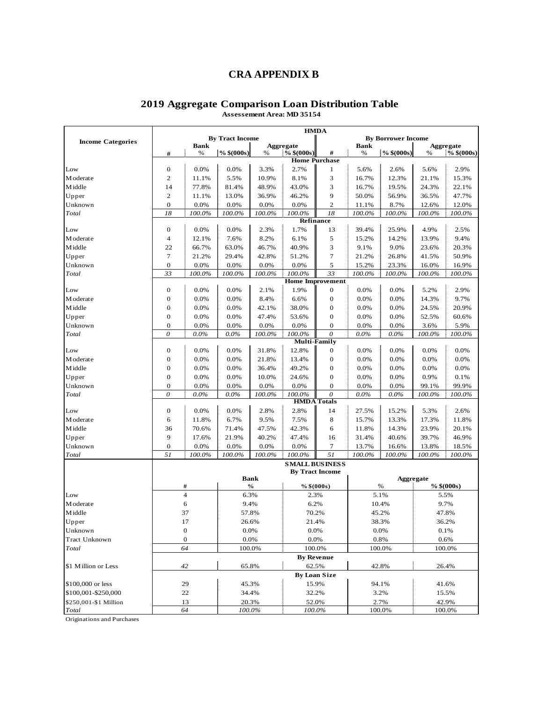#### **CRA APPENDIX B**

|                          | <b>HMDA</b>      |                         |                        |               |                           |                           |                |                           |        |              |  |
|--------------------------|------------------|-------------------------|------------------------|---------------|---------------------------|---------------------------|----------------|---------------------------|--------|--------------|--|
| <b>Income Categories</b> |                  |                         | <b>By Tract Income</b> |               |                           |                           |                | <b>By Borrower Income</b> |        |              |  |
|                          |                  | <b>Bank</b>             |                        |               | Aggregate<br>$%$ \$(000s) | #                         | <b>Bank</b>    |                           |        | Aggregate    |  |
|                          | #                | %                       | $%$ \$(000s)           | $\%$          |                           | <b>Home Purchase</b>      | $\%$           | $%$ \$(000s)              | $\%$   | $%$ \$(000s) |  |
| Low                      | $\bf{0}$         | 0.0%                    | 0.0%                   | 3.3%          | 2.7%                      | 1                         | 5.6%           | 2.6%                      | 5.6%   | 2.9%         |  |
| M oderate                | $\overline{c}$   | 11.1%                   | 5.5%                   | 10.9%         | 8.1%                      | 3                         | 16.7%          | 12.3%                     | 21.1%  | 15.3%        |  |
| <b>M</b> iddle           | 14               | 77.8%                   | 81.4%                  | 48.9%         | 43.0%                     | 3                         | 16.7%          | 19.5%                     | 24.3%  | 22.1%        |  |
| Upper                    | $\overline{c}$   | 11.1%                   | 13.0%                  | 36.9%         | 46.2%                     | 9                         | 50.0%          | 56.9%                     | 36.5%  | 47.7%        |  |
| Unknown                  | $\mathbf{O}$     | 0.0%                    | 0.0%                   | 0.0%          | 0.0%                      | $\overline{c}$            | 11.1%          | 8.7%                      | 12.6%  | 12.0%        |  |
| Total                    | 18               | 100.0%                  | 100.0%                 | 100.0%        | 100.0%                    | 18                        | 100.0%         | 100.0%                    | 100.0% | 100.0%       |  |
|                          |                  |                         |                        |               |                           | Refinance                 |                |                           |        |              |  |
| Low                      | $\bf{0}$         | 0.0%                    | 0.0%                   | 2.3%          | 1.7%                      | 13                        | 39.4%          | 25.9%                     | 4.9%   | 2.5%         |  |
| M oderate                | 4                | 12.1%                   | 7.6%                   | 8.2%          | 6.1%                      | 5                         | 15.2%          | 14.2%                     | 13.9%  | 9.4%         |  |
| <b>M</b> iddle           | 22               | 66.7%                   | 63.0%                  | 46.7%         | 40.9%                     | 3                         | 9.1%           | 9.0%                      | 23.6%  | 20.3%        |  |
| Upper                    | $\tau$           | 21.2%                   | 29.4%                  | 42.8%         | 51.2%                     | 7                         | 21.2%          | 26.8%                     | 41.5%  | 50.9%        |  |
| Unknown                  | $\mathbf{0}$     | 0.0%                    | 0.0%                   | 0.0%          | 0.0%                      | 5                         | 15.2%          | 23.3%                     | 16.0%  | 16.9%        |  |
| Total                    | 33               | 100.0%                  | 100.0%                 | 100.0%        | 100.0%                    | 33                        | 100.0%         | 100.0%                    | 100.0% | 100.0%       |  |
|                          |                  | <b>Home Improvement</b> |                        |               |                           |                           |                |                           |        |              |  |
| Low                      | 0                | 0.0%                    | 0.0%                   | 2.1%          | 1.9%                      | 0                         | 0.0%           | 0.0%                      | 5.2%   | 2.9%         |  |
| M oderate                | $\boldsymbol{0}$ | 0.0%                    | 0.0%                   | 8.4%          | 6.6%                      | $\mathbf 0$               | 0.0%           | 0.0%                      | 14.3%  | 9.7%         |  |
| Middle                   | $\mathbf{0}$     | 0.0%                    | 0.0%                   | 42.1%         | 38.0%                     | 0                         | 0.0%           | 0.0%                      | 24.5%  | 20.9%        |  |
| Upper                    | $\overline{0}$   | 0.0%                    | 0.0%                   | 47.4%         | 53.6%                     | $\mathbf 0$               | 0.0%           | 0.0%                      | 52.5%  | 60.6%        |  |
| Unknown                  | 0                | 0.0%                    | 0.0%                   | 0.0%          | 0.0%                      | 0                         | 0.0%           | 0.0%                      | 3.6%   | 5.9%         |  |
| Total                    | $\theta$         | $0.0\%$                 | $0.0\%$                | 100.0%        | 100.0%                    | $\boldsymbol{\mathit{0}}$ | $0.0\%$        | $0.0\%$                   | 100.0% | 100.0%       |  |
|                          |                  | <b>Multi-Family</b>     |                        |               |                           |                           |                |                           |        |              |  |
| Low                      | $\mathbf{0}$     | 0.0%                    | 0.0%                   | 31.8%         | 12.8%                     | $\boldsymbol{0}$          | 0.0%           | 0.0%                      | 0.0%   | 0.0%         |  |
| M oderate                | $\mathbf{0}$     | 0.0%                    | 0.0%                   | 21.8%         | 13.4%                     | 0                         | 0.0%           | 0.0%                      | 0.0%   | 0.0%         |  |
| <b>M</b> iddle           | 0                | 0.0%                    | 0.0%                   | 36.4%         | 49.2%                     | 0                         | 0.0%           | 0.0%                      | 0.0%   | 0.0%         |  |
| Upper                    | $\mathbf{0}$     | 0.0%                    | 0.0%                   | 10.0%         | 24.6%                     | $\mathbf 0$               | 0.0%           | 0.0%                      | 0.9%   | 0.1%         |  |
| Unknown                  | $\mathbf{O}$     | 0.0%                    | 0.0%                   | 0.0%          | 0.0%                      | $\boldsymbol{0}$          | 0.0%           | 0.0%                      | 99.1%  | 99.9%        |  |
| Total                    | $\theta$         | $0.0\%$                 | $0.0\%$                | 100.0%        | 100.0%                    | $\theta$                  | $0.0\%$        | $0.0\%$                   | 100.0% | 100.0%       |  |
|                          |                  |                         |                        |               | <b>HMDA</b> Totals        |                           |                |                           |        |              |  |
| Low                      | 0                | 0.0%                    | 0.0%                   | 2.8%          | 2.8%                      | 14                        | 27.5%          | 15.2%                     | 5.3%   | 2.6%         |  |
| M oderate                | 6                | 11.8%                   | 6.7%                   | 9.5%          | 7.5%                      | 8                         | 15.7%          | 13.3%                     | 17.3%  | 11.8%        |  |
| <b>M</b> iddle           | 36               | 70.6%                   | 71.4%                  | 47.5%         | 42.3%                     | 6                         | 11.8%          | 14.3%                     | 23.9%  | 20.1%        |  |
| Upper                    | 9                | 17.6%                   | 21.9%                  | 40.2%         | 47.4%                     | 16                        | 31.4%          | 40.6%                     | 39.7%  | 46.9%        |  |
| Unknown                  | $\mathbf{0}$     | 0.0%                    | 0.0%                   | 0.0%          | 0.0%                      | 7                         | 13.7%          | 16.6%                     | 13.8%  | 18.5%        |  |
| Total                    | $\overline{51}$  | 100.0%                  | 100.0%                 | 100.0%        | 100.0%                    | $\overline{51}$           | 100.0%         | 100.0%                    | 100.0% | 100.0%       |  |
|                          |                  |                         |                        |               | <b>SMALL BUSINESS</b>     |                           |                |                           |        |              |  |
|                          |                  |                         |                        | <b>Bank</b>   |                           | <b>By Tract Income</b>    |                | Aggregate                 |        |              |  |
|                          |                  | #                       |                        | $\frac{0}{0}$ |                           | % $$(000s)$               |                | $\%$                      |        | $%$ \$(000s) |  |
| Low                      |                  | $\overline{4}$          | 6.3%                   |               | 2.3%                      |                           |                | 5.1%                      |        | 5.5%         |  |
| M oderate                |                  | 6                       | 9.4%                   |               | 6.2%                      |                           |                | 10.4%                     |        | 9.7%         |  |
| Middle                   |                  | 37                      | 57.8%                  |               | 70.2%                     |                           |                | 45.2%                     |        | 47.8%        |  |
| Upper                    |                  | 17                      | 26.6%                  |               |                           | 21.4%                     |                | 38.3%                     |        | 36.2%        |  |
| Unknown                  |                  | $\boldsymbol{0}$        | 0.0%                   |               | 0.0%                      |                           |                | 0.0%                      |        | 0.1%         |  |
| Tract Unknown            |                  | $\bf{0}$                | 0.0%                   |               | 0.0%                      |                           |                | 0.8%                      | 0.6%   |              |  |
| Total                    |                  | 64                      |                        | 100.0%        |                           | 100.0%                    |                | 100.0%                    |        | 100.0%       |  |
|                          |                  |                         |                        |               |                           | <b>By Revenue</b>         |                |                           |        |              |  |
| \$1 Million or Less      |                  | 42                      | 65.8%                  |               | 62.5%                     |                           |                | 42.8%                     |        | 26.4%        |  |
|                          |                  |                         |                        |               |                           | <b>By Loan Size</b>       |                |                           |        |              |  |
| \$100,000 or less        |                  | 29                      |                        |               |                           |                           |                |                           |        | 41.6%        |  |
| \$100,001-\$250,000      |                  | 22                      | 45.3%<br>34.4%         |               | 15.9%                     |                           | 94.1%<br>3.2%  |                           |        | 15.5%        |  |
| \$250,001-\$1 Million    |                  | 13                      |                        | 20.3%         | 32.2%<br>52.0%            |                           |                |                           |        |              |  |
| Total                    |                  | 64                      |                        | 100.0%        | 100.0%                    |                           | 2.7%<br>100.0% |                           | 42.9%  |              |  |
|                          |                  |                         |                        |               |                           |                           |                |                           |        | 100.0%       |  |

#### **2019 Aggregate Comparison Loan Distribution Table Assessement Area: MD 35154**

Originations and Purchases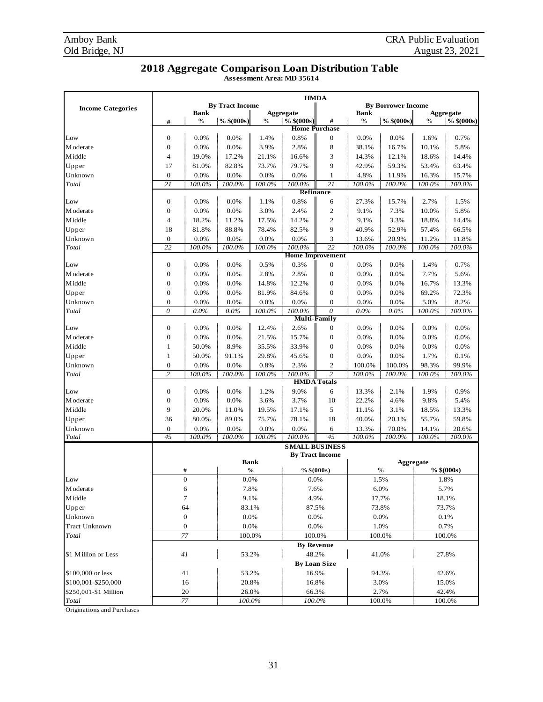#### **2018 Aggregate Comparison Loan Distribution Table**

**Assessment Area: MD 35614**

|                          | <b>HMDA</b>        |                  |                        |             |                       |                           |             |                           |        |              |
|--------------------------|--------------------|------------------|------------------------|-------------|-----------------------|---------------------------|-------------|---------------------------|--------|--------------|
| <b>Income Categories</b> |                    |                  | <b>By Tract Income</b> |             |                       |                           |             | <b>By Borrower Income</b> |        |              |
|                          |                    | <b>Bank</b>      |                        |             | Aggregate             |                           | <b>Bank</b> |                           |        | Aggregate    |
|                          | #                  | %                | $\%$ \$(000s)          | %           | $%$ \$(000s)          | #<br><b>Home Purchase</b> | %           | $\frac{6}{6}$ \$(000s)    | %      | $%$ \$(000s) |
| Low                      | $\boldsymbol{0}$   | 0.0%             | 0.0%                   | 1.4%        | 0.8%                  | 0                         | 0.0%        | 0.0%                      | 1.6%   | 0.7%         |
| M oderate                | $\mathbf{0}$       | 0.0%             | 0.0%                   | 3.9%        | 2.8%                  | 8                         | 38.1%       | 16.7%                     | 10.1%  | 5.8%         |
|                          |                    |                  |                        |             |                       |                           | 14.3%       |                           |        |              |
| M iddle                  | $\overline{4}$     | 19.0%            | 17.2%                  | 21.1%       | 16.6%                 | 3                         |             | 12.1%                     | 18.6%  | 14.4%        |
| Upper                    | 17                 | 81.0%            | 82.8%                  | 73.7%       | 79.7%                 | 9                         | 42.9%       | 59.3%                     | 53.4%  | 63.4%        |
| Unknown                  | $\mathbf{0}$<br>21 | 0.0%             | 0.0%                   | 0.0%        | 0.0%                  | 1<br>21                   | 4.8%        | 11.9%                     | 16.3%  | 15.7%        |
| Total                    |                    | 100.0%           | 100.0%                 | 100.0%      | 100.0%                | Refinance                 | 100.0%      | 100.0%                    | 100.0% | 100.0%       |
| Low                      | $\boldsymbol{0}$   | 0.0%             | 0.0%                   | 1.1%        | 0.8%                  | 6                         | 27.3%       | 15.7%                     | 2.7%   | 1.5%         |
| M oderate                | $\mathbf{0}$       | 0.0%             | 0.0%                   | 3.0%        | 2.4%                  | $\mathbf{2}$              | 9.1%        | 7.3%                      | 10.0%  | 5.8%         |
| M iddle                  | $\overline{4}$     | 18.2%            | 11.2%                  | 17.5%       | 14.2%                 | $\mathbf{2}$              | 9.1%        | 3.3%                      | 18.8%  | 14.4%        |
| Upper                    | 18                 | 81.8%            | 88.8%                  | 78.4%       | 82.5%                 | 9                         | 40.9%       | 52.9%                     | 57.4%  | 66.5%        |
| Unknown                  | $\boldsymbol{0}$   | 0.0%             | 0.0%                   | 0.0%        | 0.0%                  | 3                         | 13.6%       | 20.9%                     | 11.2%  | 11.8%        |
| Total                    | 22                 | 100.0%           | 100.0%                 | 100.0%      | 100.0%                | 22                        | 100.0%      | 100.0%                    | 100.0% | 100.0%       |
|                          |                    |                  |                        |             |                       | <b>Home Improvement</b>   |             |                           |        |              |
| Low                      | $\boldsymbol{0}$   | 0.0%             | 0.0%                   | 0.5%        | 0.3%                  | 0                         | 0.0%        | 0.0%                      | 1.4%   | 0.7%         |
| M oderate                | $\boldsymbol{0}$   | 0.0%             | 0.0%                   | 2.8%        | 2.8%                  | 0                         | 0.0%        | 0.0%                      | 7.7%   | 5.6%         |
| Middle                   | $\mathbf{0}$       | 0.0%             | 0.0%                   | 14.8%       | 12.2%                 | 0                         | 0.0%        | 0.0%                      | 16.7%  | 13.3%        |
| Upper                    | $\overline{0}$     | 0.0%             | 0.0%                   | 81.9%       | 84.6%                 | $\boldsymbol{0}$          | 0.0%        | 0.0%                      | 69.2%  | 72.3%        |
| Unknown                  | $\overline{0}$     | 0.0%             | 0.0%                   | 0.0%        | 0.0%                  | $\boldsymbol{0}$          | 0.0%        | 0.0%                      | 5.0%   | 8.2%         |
| Total                    | $\theta$           | $0.0\%$          | $0.0\%$                | 100.0%      | 100.0%                | $\overline{\theta}$       | $0.0\%$     | $0.0\%$                   | 100.0% | 100.0%       |
|                          |                    |                  |                        |             |                       | <b>Multi-Family</b>       |             |                           |        |              |
| Low                      | $\boldsymbol{0}$   | 0.0%             | 0.0%                   | 12.4%       | 2.6%                  | 0                         | 0.0%        | 0.0%                      | 0.0%   | 0.0%         |
| M oderate                | $\boldsymbol{0}$   | 0.0%             | 0.0%                   | 21.5%       | 15.7%                 | $\boldsymbol{0}$          | 0.0%        | 0.0%                      | 0.0%   | 0.0%         |
| M iddle                  | 1                  | 50.0%            | 8.9%                   | 35.5%       | 33.9%                 | 0                         | 0.0%        | 0.0%                      | 0.0%   | 0.0%         |
| Upper                    | $\mathbf{1}$       | 50.0%            | 91.1%                  | 29.8%       | 45.6%                 | 0                         | 0.0%        | 0.0%                      | 1.7%   | 0.1%         |
| Unknown                  | $\boldsymbol{0}$   | 0.0%             | 0.0%                   | 0.8%        | 2.3%                  | 2                         | 100.0%      | 100.0%                    | 98.3%  | 99.9%        |
| Total                    | $\overline{c}$     | 100.0%           | 100.0%                 | 100.0%      | 100.0%                | $\overline{c}$            | 100.0%      | 100.0%                    | 100.0% | 100.0%       |
|                          |                    |                  |                        |             |                       | <b>HMDA</b> Totals        |             |                           |        |              |
| Low                      | $\boldsymbol{0}$   | 0.0%             | 0.0%                   | 1.2%        | 9.0%                  | 6                         | 13.3%       | 2.1%                      | 1.9%   | 0.9%         |
| M oderate                | $\mathbf{0}$       | 0.0%             | 0.0%                   | 3.6%        | 3.7%                  | 10                        | 22.2%       | 4.6%                      | 9.8%   | 5.4%         |
| M iddle                  | 9                  | 20.0%            | 11.0%                  | 19.5%       | 17.1%                 | 5                         | 11.1%       | 3.1%                      | 18.5%  | 13.3%        |
| Upper                    | 36                 | 80.0%            | 89.0%                  | 75.7%       | 78.1%                 | 18                        | 40.0%       | 20.1%                     | 55.7%  | 59.8%        |
| Unknown                  | $\boldsymbol{0}$   | 0.0%             | 0.0%                   | 0.0%        | 0.0%                  | 6                         | 13.3%       | 70.0%                     | 14.1%  | 20.6%        |
| Total                    | $\overline{45}$    | 100.0%           | 100.0%                 | 100.0%      | 100.0%                | 45                        | 100.0%      | 100.0%                    | 100.0% | 100.0%       |
|                          |                    |                  |                        |             | <b>SMALL BUSINESS</b> |                           |             |                           |        |              |
|                          |                    |                  |                        |             |                       | <b>By Tract Income</b>    |             |                           |        |              |
|                          |                    |                  |                        | <b>Bank</b> |                       |                           |             | Aggregate                 |        |              |
|                          |                    | #                |                        | $\%$        |                       | $%$ \$(000s)              |             | $\%$                      |        | $%$ \$(000s) |
| Low                      |                    | $\boldsymbol{0}$ | 0.0%                   |             | 0.0%                  |                           |             | 1.5%                      |        | 1.8%         |
| M oderate                |                    | 6                |                        | 7.8%        |                       | 7.6%                      |             | 6.0%                      |        | 5.7%         |
| M iddle                  |                    | $\tau$           | 9.1%                   |             |                       | 4.9%                      |             | 17.7%                     |        | 18.1%        |
| Upper                    |                    | 64               | 83.1%                  |             |                       | 87.5%                     |             | 73.8%                     |        | 73.7%        |
| Unknown                  |                    | $\boldsymbol{0}$ | 0.0%                   |             |                       | 0.0%                      |             | 0.0%                      |        | 0.1%         |
| Tract Unknown            |                    | $\mathbf{0}$     | 0.0%                   |             |                       | 0.0%                      |             | 1.0%                      |        | 0.7%         |
| Total                    |                    | $77\,$           |                        | 100.0%      |                       | 100.0%                    |             | 100.0%                    |        | 100.0%       |
|                          |                    |                  |                        |             |                       | <b>By Revenue</b>         |             |                           |        |              |
| \$1 Million or Less      |                    | 41               | 53.2%                  |             |                       | 48.2%                     |             | 41.0%                     |        | 27.8%        |
|                          |                    |                  |                        |             |                       | <b>By Loan Size</b>       |             |                           |        |              |
| \$100,000 or less        |                    | 41               | 53.2%                  |             |                       | 16.9%                     |             | 94.3%                     |        | 42.6%        |
| \$100,001-\$250,000      |                    | 16               | 20.8%                  |             | 16.8%                 |                           | 3.0%        |                           |        | 15.0%        |
| \$250,001-\$1 Million    |                    | 20               | 26.0%                  |             | 66.3%                 |                           | 2.7%        |                           |        | 42.4%        |
| Total                    |                    | 77               |                        | 100.0%      |                       | 100.0%                    | 100.0%      |                           | 100.0% |              |

Originations and Purchases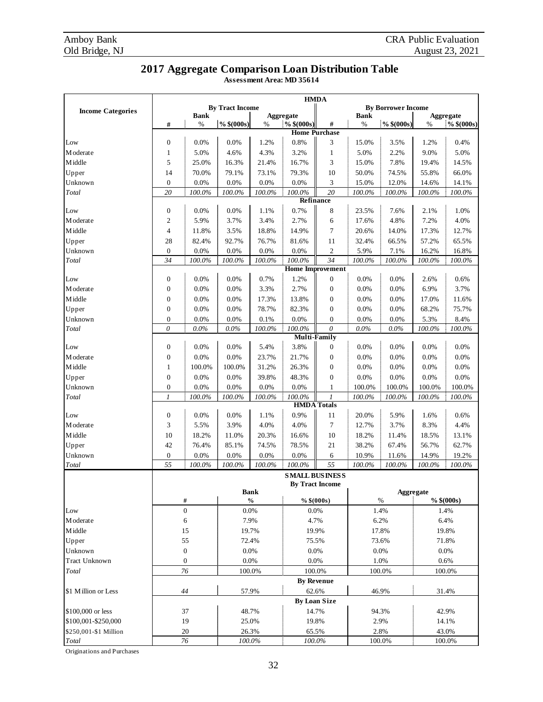#### **2017 Aggregate Comparison Loan Distribution Table**

**Assessment Area: MD 35614**

|                          | <b>HMDA</b>      |                  |                        |             |              |                           |             |                           |        |                         |
|--------------------------|------------------|------------------|------------------------|-------------|--------------|---------------------------|-------------|---------------------------|--------|-------------------------|
| <b>Income Categories</b> |                  |                  | <b>By Tract Income</b> |             |              |                           |             | <b>By Borrower Income</b> |        |                         |
|                          |                  | <b>Bank</b>      |                        |             | Aggregate    |                           | <b>Bank</b> |                           |        | <b>Aggregate</b>        |
|                          | #                | $\%$             | $\frac{9}{6}$ \$(000s) | $\%$        | $%$ \$(000s) | #<br><b>Home Purchase</b> | %           | $%$ \$(000s)              | %      | $\frac{6}{10}$ \$(000s) |
| Low                      | $\boldsymbol{0}$ | 0.0%             | 0.0%                   | 1.2%        | 0.8%         | 3                         | 15.0%       | 3.5%                      | 1.2%   | 0.4%                    |
| M oderate                | $\mathbf{1}$     | 5.0%             | 4.6%                   | 4.3%        | 3.2%         | 1                         | 5.0%        | 2.2%                      | 9.0%   | 5.0%                    |
| Middle                   | 5                | 25.0%            | 16.3%                  | 21.4%       | 16.7%        | 3                         | 15.0%       | 7.8%                      | 19.4%  | 14.5%                   |
| Upper                    | 14               | 70.0%            | 79.1%                  | 73.1%       | 79.3%        | 10                        | 50.0%       | 74.5%                     | 55.8%  | 66.0%                   |
| Unknown                  | $\boldsymbol{0}$ | 0.0%             | 0.0%                   | 0.0%        | 0.0%         | 3                         | 15.0%       | 12.0%                     | 14.6%  | 14.1%                   |
| Total                    | 20               | 100.0%           | 100.0%                 | 100.0%      | $100.0\%$    | 20                        | 100.0%      | 100.0%                    | 100.0% | 100.0%                  |
|                          |                  |                  |                        |             |              | Refinance                 |             |                           |        |                         |
| Low                      | $\boldsymbol{0}$ | 0.0%             | 0.0%                   | 1.1%        | 0.7%         | 8                         | 23.5%       | 7.6%                      | 2.1%   | 1.0%                    |
| M oderate                | $\mathfrak{2}$   | 5.9%             | 3.7%                   | 3.4%        | 2.7%         | 6                         | 17.6%       | 4.8%                      | 7.2%   | 4.0%                    |
| Middle                   | 4                | 11.8%            | 3.5%                   | 18.8%       | 14.9%        | 7                         | 20.6%       | 14.0%                     | 17.3%  | 12.7%                   |
| Upper                    | 28               | 82.4%            | 92.7%                  | 76.7%       | 81.6%        | 11                        | 32.4%       | 66.5%                     | 57.2%  | 65.5%                   |
| Unknown                  | $\mathbf{0}$     | 0.0%             | 0.0%                   | 0.0%        | 0.0%         | $\boldsymbol{2}$          | 5.9%        | 7.1%                      | 16.2%  | 16.8%                   |
| Total                    | 34               | 100.0%           | 100.0%                 | 100.0%      | $100.0\%$    | 34                        | 100.0%      | $100.0\%$                 | 100.0% | 100.0%                  |
|                          |                  |                  |                        |             |              | <b>Home Improvement</b>   |             |                           |        |                         |
| Low                      | $\boldsymbol{0}$ | 0.0%             | 0.0%                   | 0.7%        | 1.2%         | $\boldsymbol{0}$          | 0.0%        | 0.0%                      | 2.6%   | 0.6%                    |
| M oderate                | $\boldsymbol{0}$ | 0.0%             | 0.0%                   | 3.3%        | 2.7%         | $\boldsymbol{0}$          | 0.0%        | 0.0%                      | 6.9%   | 3.7%                    |
| Middle                   | $\boldsymbol{0}$ | 0.0%             | 0.0%                   | 17.3%       | 13.8%        | $\boldsymbol{0}$          | 0.0%        | 0.0%                      | 17.0%  | 11.6%                   |
| Upper                    | $\mathbf{0}$     | 0.0%             | 0.0%                   | 78.7%       | 82.3%        | $\boldsymbol{0}$          | 0.0%        | 0.0%                      | 68.2%  | 75.7%                   |
| Unknown                  | $\boldsymbol{0}$ | 0.0%             | 0.0%                   | 0.1%        | 0.0%         | $\boldsymbol{0}$          | 0.0%        | 0.0%                      | 5.3%   | 8.4%                    |
| Total                    | $\theta$         | $0.0\%$          | $0.0\%$                | 100.0%      | 100.0%       | $\theta$                  | $0.0\%$     | $0.0\%$                   | 100.0% | 100.0%                  |
|                          |                  |                  |                        |             |              | <b>Multi-Family</b>       |             |                           |        |                         |
| Low                      | $\boldsymbol{0}$ | 0.0%             | 0.0%                   | 5.4%        | 3.8%         | $\boldsymbol{0}$          | 0.0%        | 0.0%                      | 0.0%   | 0.0%                    |
| M oderate                | $\boldsymbol{0}$ | 0.0%             | 0.0%                   | 23.7%       | 21.7%        | $\boldsymbol{0}$          | 0.0%        | 0.0%                      | 0.0%   | $0.0\%$                 |
| <b>M</b> iddle           | $\mathbf{1}$     | 100.0%           | 100.0%                 | 31.2%       | 26.3%        | $\boldsymbol{0}$          | 0.0%        | 0.0%                      | 0.0%   | 0.0%                    |
| Upper                    | $\boldsymbol{0}$ | 0.0%             | 0.0%                   | 39.8%       | 48.3%        | $\boldsymbol{0}$          | 0.0%        | 0.0%                      | 0.0%   | $0.0\%$                 |
| Unknown                  | $\mathbf{0}$     | 0.0%             | 0.0%                   | 0.0%        | 0.0%         | 1                         | 100.0%      | 100.0%                    | 100.0% | 100.0%                  |
| Total                    | $\mathcal{I}$    | 100.0%           | 100.0%                 | 100.0%      | 100.0%       | 1                         | 100.0%      | 100.0%                    | 100.0% | 100.0%                  |
|                          |                  |                  |                        |             |              | <b>HMDA</b> Totals        |             |                           |        |                         |
| Low                      | $\boldsymbol{0}$ | 0.0%             | 0.0%                   | 1.1%        | 0.9%         | 11                        | 20.0%       | 5.9%                      | 1.6%   | 0.6%                    |
| M oderate                | 3                | 5.5%             | 3.9%                   | 4.0%        | 4.0%         | 7                         | 12.7%       | 3.7%                      | 8.3%   | 4.4%                    |
| Middle                   | 10               | 18.2%            | 11.0%                  | 20.3%       | 16.6%        | 10                        | 18.2%       | 11.4%                     | 18.5%  | 13.1%                   |
| Upper                    | 42               | 76.4%            | 85.1%                  | 74.5%       | 78.5%        | 21                        | 38.2%       | 67.4%                     | 56.7%  | 62.7%                   |
| Unknown                  | $\boldsymbol{0}$ | 0.0%             | 0.0%                   | 0.0%        | 0.0%         | 6                         | 10.9%       | 11.6%                     | 14.9%  | 19.2%                   |
| Total                    | 55               | $100.0\%$        | 100.0%                 | 100.0%      | 100.0%       | $\overline{55}$           | $100.0\%$   | $100.0\%$                 | 100.0% | 100.0%                  |
|                          |                  |                  |                        |             |              | <b>SMALL BUSINESS</b>     |             |                           |        |                         |
|                          |                  |                  |                        |             |              | <b>By Tract Income</b>    |             |                           |        |                         |
|                          |                  |                  |                        | <b>Bank</b> |              |                           |             | Aggregate                 |        |                         |
|                          |                  | $\#$             |                        | $\%$        |              | $%$ \$(000s)              |             | $\%$                      |        | $%$ \$(000s)            |
| Low                      |                  | $\boldsymbol{0}$ | 0.0%                   |             |              | $0.0\%$                   |             | 1.4%                      |        | 1.4%                    |
| <b>M</b> oderate         |                  | 6                | 7.9%                   |             |              | 4.7%                      |             | 6.2%                      |        | 6.4%                    |
| Middle                   |                  | 15               | 19.7%                  |             |              | 19.9%                     |             | 17.8%                     |        | 19.8%                   |
| Upper                    |                  | 55               | 72.4%                  |             |              | 75.5%                     |             | 73.6%                     |        | 71.8%                   |
| Unknown                  |                  | $\boldsymbol{0}$ | 0.0%                   |             |              | 0.0%                      |             | 0.0%                      |        | 0.0%                    |
| <b>Tract Unknown</b>     |                  | $\boldsymbol{0}$ | 0.0%                   |             |              | 0.0%                      |             | 1.0%                      |        | 0.6%                    |
| Total                    |                  | 76               |                        | 100.0%      |              | 100.0%                    |             | 100.0%                    |        | 100.0%                  |
|                          |                  |                  |                        |             |              | <b>By Revenue</b>         |             |                           |        |                         |
| \$1 Million or Less      |                  | 44               |                        | 57.9%       |              | 62.6%                     |             | 46.9%                     |        | 31.4%                   |
|                          |                  |                  |                        |             |              | <b>By Loan Size</b>       |             |                           |        |                         |
| \$100,000 or less        |                  | 37               |                        | 48.7%       |              | 14.7%                     | 94.3%       |                           |        | 42.9%                   |
| \$100,001-\$250,000      |                  | 19               | 25.0%                  |             | 19.8%        |                           | 2.9%        |                           |        | 14.1%                   |
| \$250,001-\$1 Million    |                  | 20               |                        | 26.3%       | 65.5%        |                           | 2.8%        |                           | 43.0%  |                         |
| Total                    |                  | $76\,$           | 100.0%                 |             |              | 100.0%                    |             | 100.0%                    | 100.0% |                         |

Originations and Purchases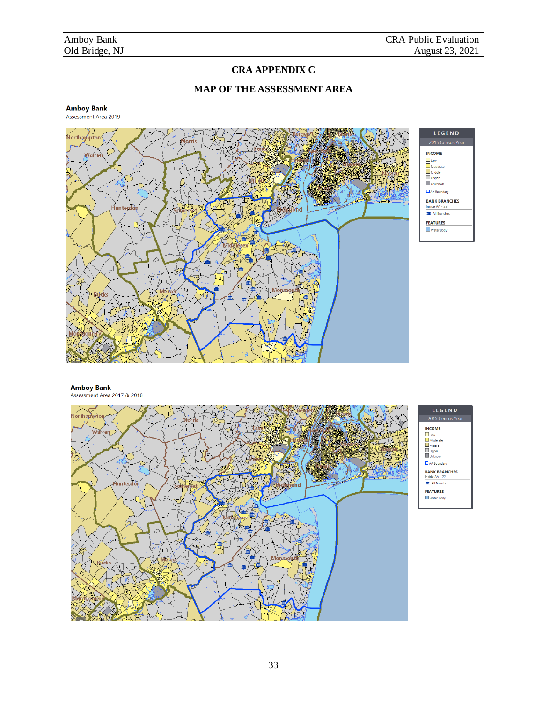#### **CRA APPENDIX C**

#### **MAP OF THE ASSESSMENT AREA**







Assessment Area 2017 & 2018



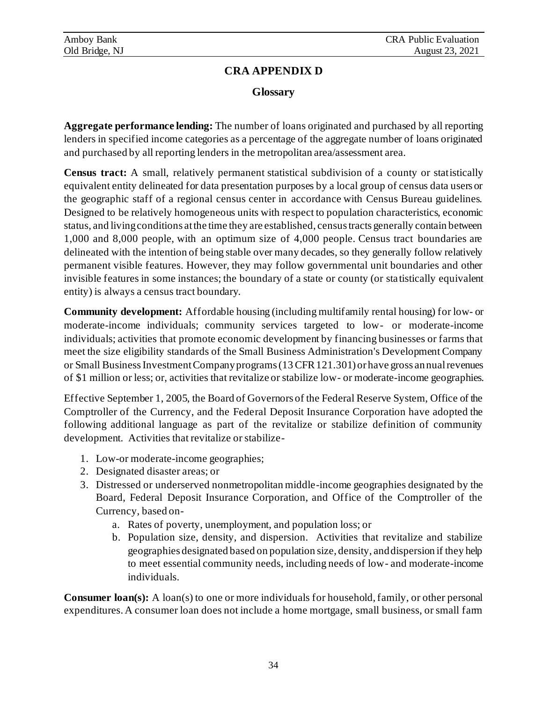#### **CRA APPENDIX D**

#### **Glossary**

**Aggregate performance lending:** The number of loans originated and purchased by all reporting lenders in specified income categories as a percentage of the aggregate number of loans originated and purchased by all reporting lenders in the metropolitan area/assessment area.

**Census tract:** A small, relatively permanent statistical subdivision of a county or statistically equivalent entity delineated for data presentation purposes by a local group of census data users or the geographic staff of a regional census center in accordance with Census Bureau guidelines. Designed to be relatively homogeneous units with respect to population characteristics, economic status, and living conditions at the time they are established, census tracts generally contain between 1,000 and 8,000 people, with an optimum size of 4,000 people. Census tract boundaries are delineated with the intention of being stable over many decades, so they generally follow relatively permanent visible features. However, they may follow governmental unit boundaries and other invisible features in some instances; the boundary of a state or county (or statistically equivalent entity) is always a census tract boundary.

**Community development:** Affordable housing (including multifamily rental housing) for low- or moderate-income individuals; community services targeted to low- or moderate-income individuals; activities that promote economic development by financing businesses or farms that meet the size eligibility standards of the Small Business Administration's Development Company or Small Business Investment Company programs (13 CFR 121.301) or have gross annual revenues of \$1 million or less; or, activities that revitalize or stabilize low- or moderate-income geographies.

Effective September 1, 2005, the Board of Governors of the Federal Reserve System, Office of the Comptroller of the Currency, and the Federal Deposit Insurance Corporation have adopted the following additional language as part of the revitalize or stabilize definition of community development. Activities that revitalize or stabilize-

- 1. Low-or moderate-income geographies;
- 2. Designated disaster areas; or
- 3. Distressed or underserved nonmetropolitan middle-income geographies designated by the Board, Federal Deposit Insurance Corporation, and Office of the Comptroller of the Currency, based on
	- a. Rates of poverty, unemployment, and population loss; or
	- b. Population size, density, and dispersion. Activities that revitalize and stabilize geographies designated based on population size, density, and dispersion if they help to meet essential community needs, including needs of low- and moderate-income individuals.

**Consumer loan(s):** A loan(s) to one or more individuals for household, family, or other personal expenditures. A consumer loan does not include a home mortgage, small business, or small farm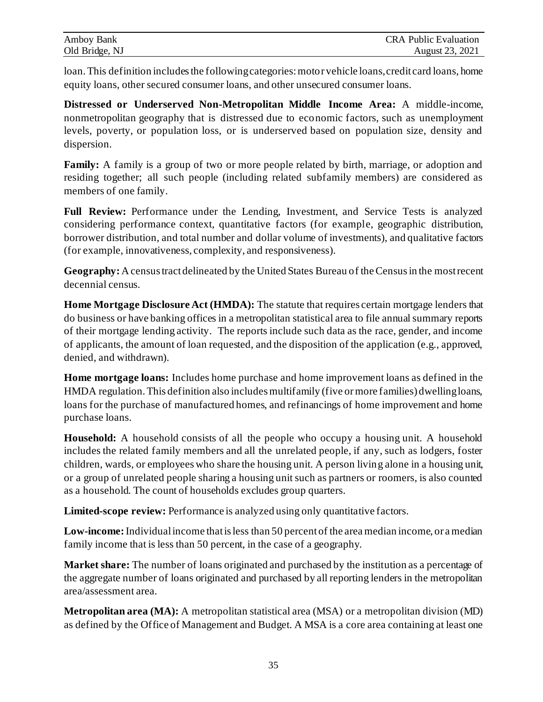| Amboy Bank     | <b>CRA Public Evaluation</b> |
|----------------|------------------------------|
| Old Bridge, NJ | August 23, 2021              |

loan. This definition includes the following categories: motor vehicle loans, credit card loans, home equity loans, other secured consumer loans, and other unsecured consumer loans.

**Distressed or Underserved Non-Metropolitan Middle Income Area:** A middle-income, nonmetropolitan geography that is distressed due to economic factors, such as unemployment levels, poverty, or population loss, or is underserved based on population size, density and dispersion.

**Family:** A family is a group of two or more people related by birth, marriage, or adoption and residing together; all such people (including related subfamily members) are considered as members of one family.

Full Review: Performance under the Lending, Investment, and Service Tests is analyzed considering performance context, quantitative factors (for example, geographic distribution, borrower distribution, and total number and dollar volume of investments), and qualitative factors (for example, innovativeness, complexity, and responsiveness).

**Geography:** A census tract delineated by the United States Bureau of the Census in the most recent decennial census.

**Home Mortgage Disclosure Act (HMDA):** The statute that requires certain mortgage lenders that do business or have banking offices in a metropolitan statistical area to file annual summary reports of their mortgage lending activity. The reports include such data as the race, gender, and income of applicants, the amount of loan requested, and the disposition of the application (e.g., approved, denied, and withdrawn).

**Home mortgage loans:** Includes home purchase and home improvement loans as defined in the HMDA regulation. This definition also includes multifamily (five or more families) dwelling loans, loans for the purchase of manufactured homes, and refinancings of home improvement and home purchase loans.

**Household:** A household consists of all the people who occupy a housing unit. A household includes the related family members and all the unrelated people, if any, such as lodgers, foster children, wards, or employees who share the housing unit. A person living alone in a housing unit, or a group of unrelated people sharing a housing unit such as partners or roomers, is also counted as a household. The count of households excludes group quarters.

**Limited-scope review:** Performance is analyzed using only quantitative factors.

**Low-income:** Individual income that is less than 50 percent of the area median income, or a median family income that is less than 50 percent, in the case of a geography.

**Market share:** The number of loans originated and purchased by the institution as a percentage of the aggregate number of loans originated and purchased by all reporting lenders in the metropolitan area/assessment area.

**Metropolitan area (MA):** A metropolitan statistical area (MSA) or a metropolitan division (MD) as defined by the Office of Management and Budget. A MSA is a core area containing at least one